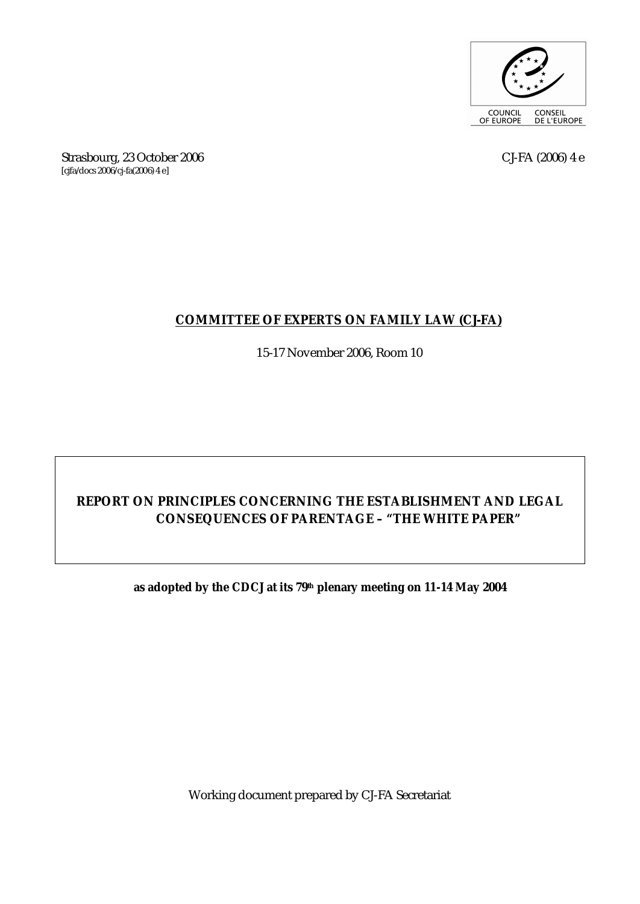

Strasbourg, 23 October 2006 CJ-FA (2006) 4 e [cjfa/docs 2006/cj-fa(2006) 4 e]

### **COMMITTEE OF EXPERTS ON FAMILY LAW (CJ-FA)**

15-17 November 2006, Room 10

# **REPORT ON PRINCIPLES CONCERNING THE ESTABLISHMENT AND LEGAL CONSEQUENCES OF PARENTAGE – "THE WHITE PAPER"**

#### **as adopted by the CDCJ at its 79th plenary meeting on 11-14 May 2004**

Working document prepared by CJ-FA Secretariat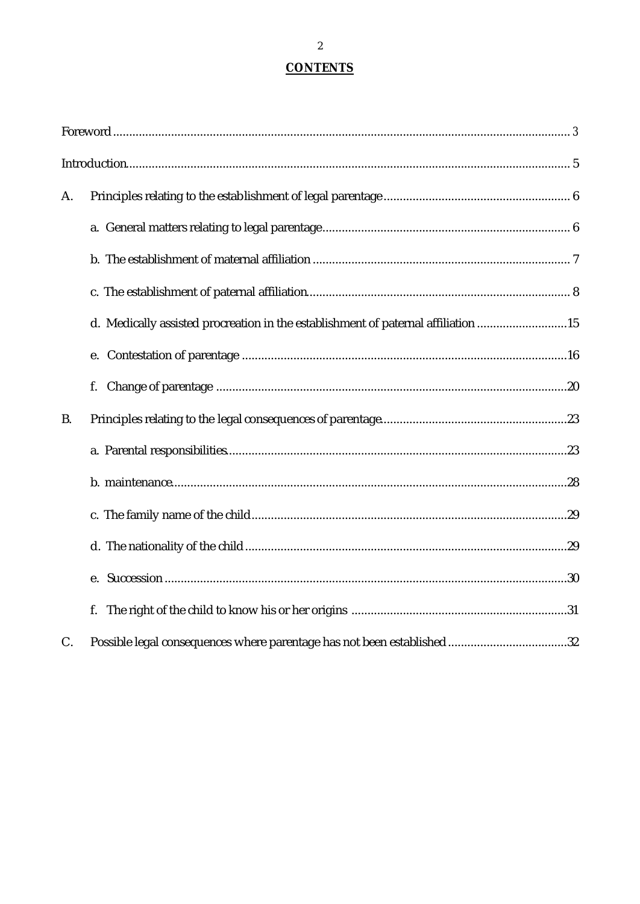### **CONTENTS**

| A.        |                                                                                   |
|-----------|-----------------------------------------------------------------------------------|
|           |                                                                                   |
|           |                                                                                   |
|           |                                                                                   |
|           | d. Medically assisted procreation in the establishment of paternal affiliation 15 |
|           | e.                                                                                |
|           |                                                                                   |
| <b>B.</b> |                                                                                   |
|           |                                                                                   |
|           |                                                                                   |
|           |                                                                                   |
|           |                                                                                   |
|           |                                                                                   |
|           | f.                                                                                |
| C.        |                                                                                   |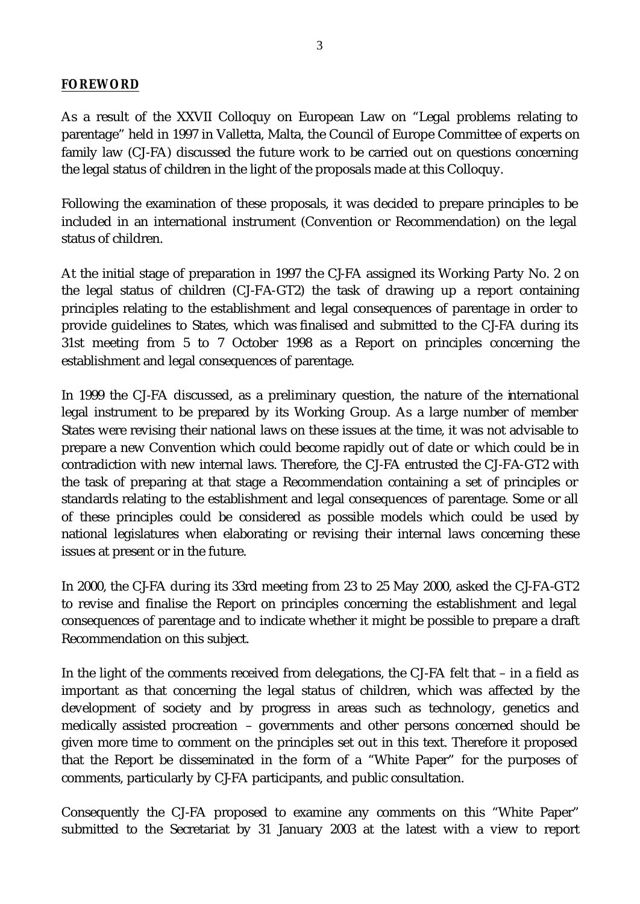#### *FOREWORD*

As a result of the XXVII Colloquy on European Law on "Legal problems relating to parentage" held in 1997 in Valletta, Malta, the Council of Europe Committee of experts on family law (CJ-FA) discussed the future work to be carried out on questions concerning the legal status of children in the light of the proposals made at this Colloquy.

Following the examination of these proposals, it was decided to prepare principles to be included in an international instrument (Convention or Recommendation) on the legal status of children.

At the initial stage of preparation in 1997 the CJ-FA assigned its Working Party No. 2 on the legal status of children (CJ-FA-GT2) the task of drawing up a report containing principles relating to the establishment and legal consequences of parentage in order to provide guidelines to States, which was finalised and submitted to the CJ-FA during its 31st meeting from 5 to 7 October 1998 as a Report on principles concerning the establishment and legal consequences of parentage.

In 1999 the CJ-FA discussed, as a preliminary question, the nature of the international legal instrument to be prepared by its Working Group. As a large number of member States were revising their national laws on these issues at the time, it was not advisable to prepare a new Convention which could become rapidly out of date or which could be in contradiction with new internal laws. Therefore, the CJ-FA entrusted the CJ-FA-GT2 with the task of preparing at that stage a Recommendation containing a set of principles or standards relating to the establishment and legal consequences of parentage. Some or all of these principles could be considered as possible models which could be used by national legislatures when elaborating or revising their internal laws concerning these issues at present or in the future.

In 2000, the CJ-FA during its 33rd meeting from 23 to 25 May 2000, asked the CJ-FA-GT2 to revise and finalise the Report on principles concerning the establishment and legal consequences of parentage and to indicate whether it might be possible to prepare a draft Recommendation on this subject.

In the light of the comments received from delegations, the CJ-FA felt that – in a field as important as that concerning the legal status of children, which was affected by the development of society and by progress in areas such as technology, genetics and medically assisted procreation – governments and other persons concerned should be given more time to comment on the principles set out in this text. Therefore it proposed that the Report be disseminated in the form of a "White Paper" for the purposes of comments, particularly by CJ-FA participants, and public consultation.

Consequently the CJ-FA proposed to examine any comments on this "White Paper" submitted to the Secretariat by 31 January 2003 at the latest with a view to report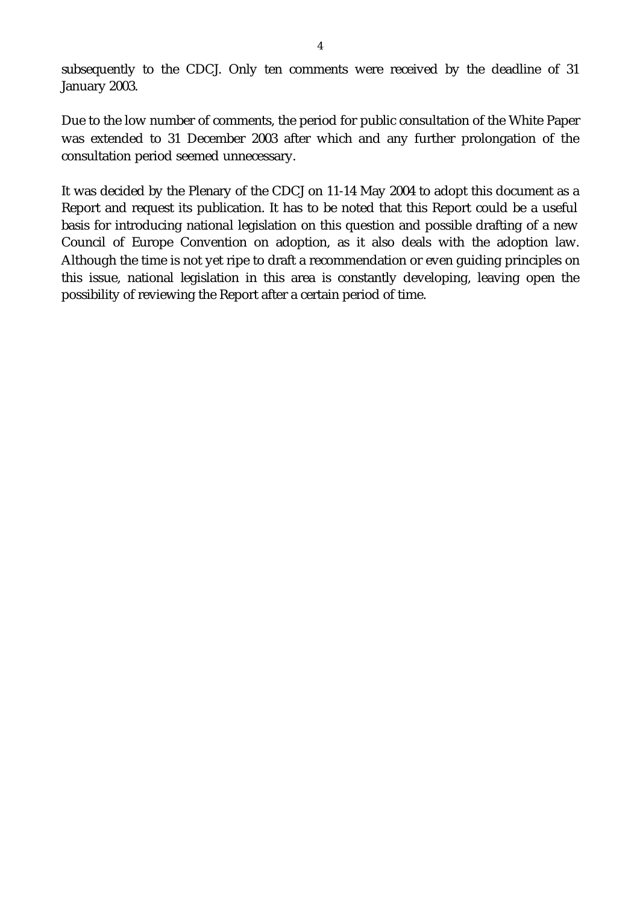subsequently to the CDCJ. Only ten comments were received by the deadline of 31 January 2003.

Due to the low number of comments, the period for public consultation of the White Paper was extended to 31 December 2003 after which and any further prolongation of the consultation period seemed unnecessary.

It was decided by the Plenary of the CDCJ on 11-14 May 2004 to adopt this document as a Report and request its publication. It has to be noted that this Report could be a useful basis for introducing national legislation on this question and possible drafting of a new Council of Europe Convention on adoption, as it also deals with the adoption law. Although the time is not yet ripe to draft a recommendation or even guiding principles on this issue, national legislation in this area is constantly developing, leaving open the possibility of reviewing the Report after a certain period of time.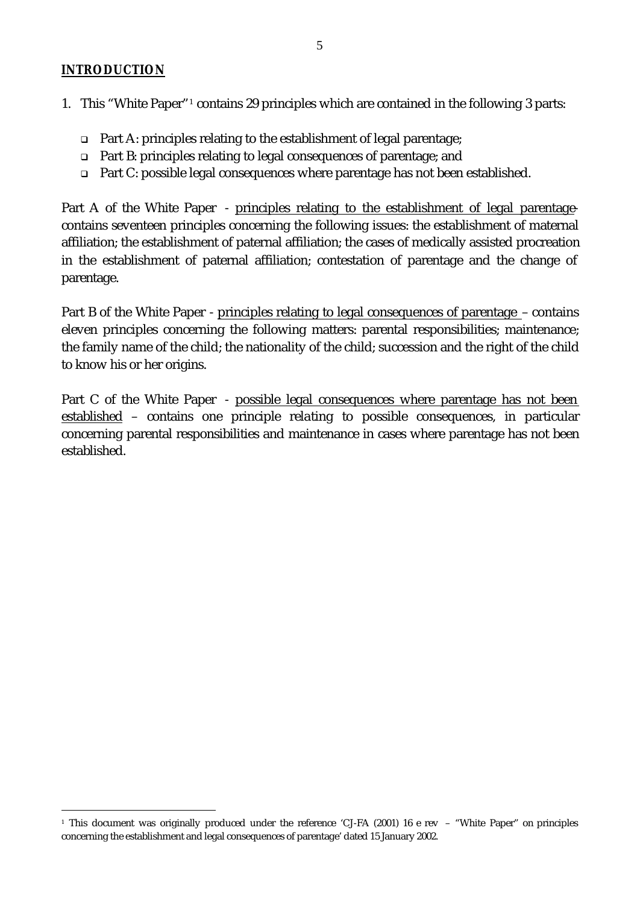#### *INTRODUCTION*

l

- 1. This "White Paper"<sup>1</sup> contains 29 principles which are contained in the following 3 parts:
	- $\Box$  Part A: principles relating to the establishment of legal parentage;
	- <sup>q</sup> Part B: principles relating to legal consequences of parentage; and
	- □ Part C: possible legal consequences where parentage has not been established.

Part A of the White Paper - principles relating to the establishment of legal parentagecontains seventeen principles concerning the following issues: the establishment of maternal affiliation; the establishment of paternal affiliation; the cases of medically assisted procreation in the establishment of paternal affiliation; contestation of parentage and the change of parentage.

Part B of the White Paper - principles relating to legal consequences of parentage – contains eleven principles concerning the following matters: parental responsibilities; maintenance; the family name of the child; the nationality of the child; succession and the right of the child to know his or her origins.

Part C of the White Paper - possible legal consequences where parentage has not been established – contains one principle relating to possible consequences, in particular concerning parental responsibilities and maintenance in cases where parentage has not been established.

<sup>1</sup> This document was originally produced under the reference 'CJ-FA (2001) 16 e rev – "White Paper" on principles concerning the establishment and legal consequences of parentage' dated 15 January 2002.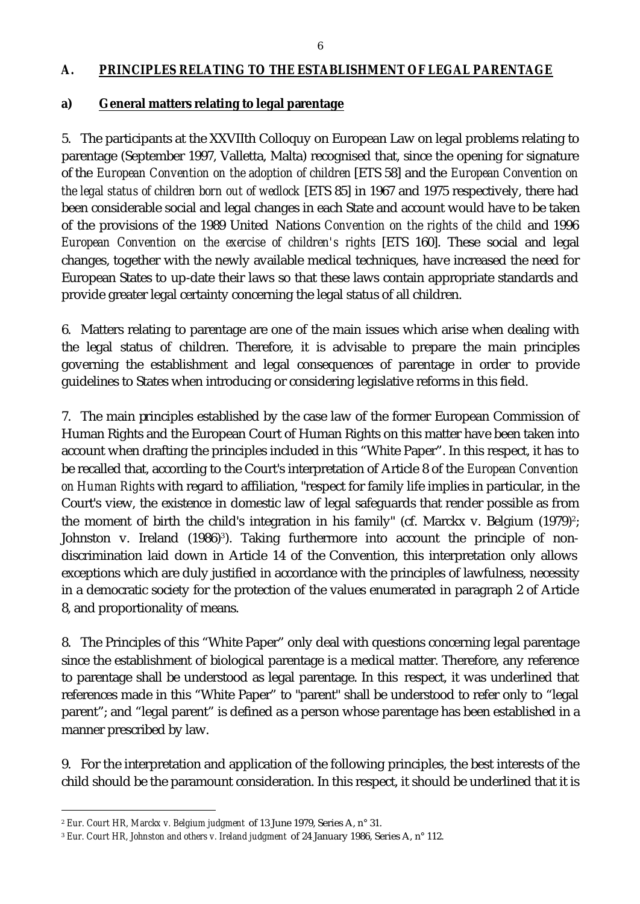#### *A. PRINCIPLES RELATING TO THE ESTABLISHMENT OF LEGAL PARENTAGE*

#### **a) General matters relating to legal parentage**

5. The participants at the XXVIIth Colloquy on European Law on legal problems relating to parentage (September 1997, Valletta, Malta) recognised that, since the opening for signature of the *European Convention on the adoption of children* [ETS 58] and the *European Convention on the legal status of children born out of wedlock* [ETS 85] in 1967 and 1975 respectively, there had been considerable social and legal changes in each State and account would have to be taken of the provisions of the 1989 United Nations *Convention on the rights of the child* and 1996 *European Convention on the exercise of children's rights* [ETS 160]. These social and legal changes, together with the newly available medical techniques, have increased the need for European States to up-date their laws so that these laws contain appropriate standards and provide greater legal certainty concerning the legal status of all children.

6. Matters relating to parentage are one of the main issues which arise when dealing with the legal status of children. Therefore, it is advisable to prepare the main principles governing the establishment and legal consequences of parentage in order to provide guidelines to States when introducing or considering legislative reforms in this field.

7. The main principles established by the case law of the former European Commission of Human Rights and the European Court of Human Rights on this matter have been taken into account when drafting the principles included in this "White Paper". In this respect, it has to be recalled that, according to the Court's interpretation of Article 8 of the *European Convention on Human Rights* with regard to affiliation, "respect for family life implies in particular, in the Court's view, the existence in domestic law of legal safeguards that render possible as from the moment of birth the child's integration in his family" (cf. Marckx v. Belgium  $(1979)^2$ ; Johnston v. Ireland (1986)<sup>3</sup>). Taking furthermore into account the principle of nondiscrimination laid down in Article 14 of the Convention, this interpretation only allows exceptions which are duly justified in accordance with the principles of lawfulness, necessity in a democratic society for the protection of the values enumerated in paragraph 2 of Article 8, and proportionality of means.

8. The Principles of this "White Paper" only deal with questions concerning legal parentage since the establishment of biological parentage is a medical matter. Therefore, any reference to parentage shall be understood as legal parentage. In this respect, it was underlined that references made in this "White Paper" to "parent" shall be understood to refer only to "legal parent"; and "legal parent" is defined as a person whose parentage has been established in a manner prescribed by law.

9. For the interpretation and application of the following principles, the best interests of the child should be the paramount consideration. In this respect, it should be underlined that it is

l

<sup>2</sup> *Eur. Court HR, Marckx v. Belgium judgment* of 13 June 1979, Series A, n° 31.

<sup>3</sup> *Eur. Court HR, Johnston and others v. Ireland judgment* of 24 January 1986, Series A, n° 112.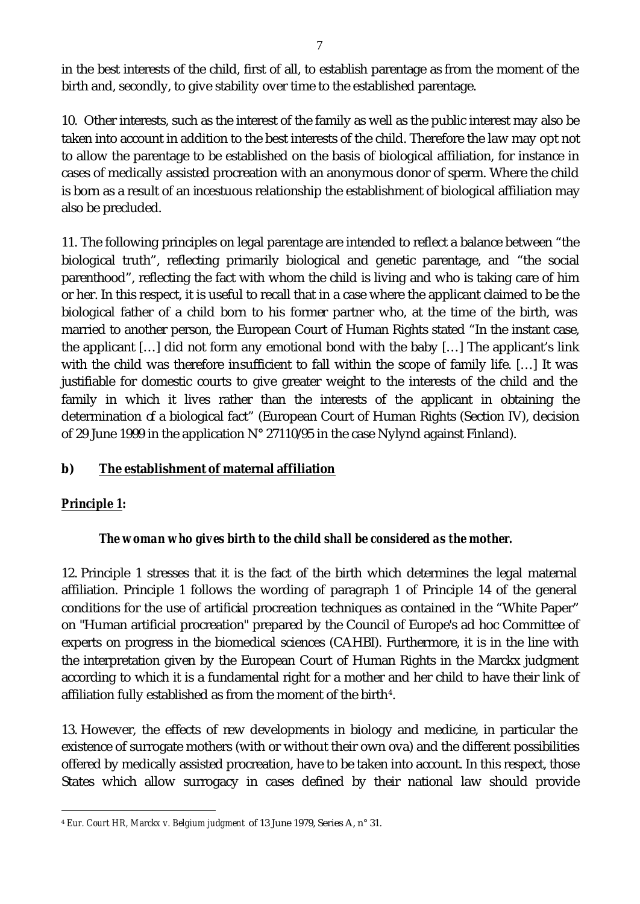in the best interests of the child, first of all, to establish parentage as from the moment of the birth and, secondly, to give stability over time to the established parentage.

10. Other interests, such as the interest of the family as well as the public interest may also be taken into account in addition to the best interests of the child. Therefore the law may opt not to allow the parentage to be established on the basis of biological affiliation, for instance in cases of medically assisted procreation with an anonymous donor of sperm. Where the child is born as a result of an incestuous relationship the establishment of biological affiliation may also be precluded.

11. The following principles on legal parentage are intended to reflect a balance between "the biological truth", reflecting primarily biological and genetic parentage, and "the social parenthood", reflecting the fact with whom the child is living and who is taking care of him or her. In this respect, it is useful to recall that in a case where the applicant claimed to be the biological father of a child born to his former partner who, at the time of the birth, was married to another person, the European Court of Human Rights stated "In the instant case, the applicant […] did not form any emotional bond with the baby […] The applicant's link with the child was therefore insufficient to fall within the scope of family life. […] It was justifiable for domestic courts to give greater weight to the interests of the child and the family in which it lives rather than the interests of the applicant in obtaining the determination of a biological fact" (European Court of Human Rights (Section IV), decision of 29 June 1999 in the application N° 27110/95 in the case Nylynd against Finland).

# **b) The establishment of maternal affiliation**

#### *Principle 1:*

l

#### *The woman who gives birth to the child shall be considered as the mother.*

12. Principle 1 stresses that it is the fact of the birth which determines the legal maternal affiliation. Principle 1 follows the wording of paragraph 1 of Principle 14 of the general conditions for the use of artificial procreation techniques as contained in the "White Paper" on "Human artificial procreation" prepared by the Council of Europe's ad hoc Committee of experts on progress in the biomedical sciences (CAHBI). Furthermore, it is in the line with the interpretation given by the European Court of Human Rights in the Marckx judgment according to which it is a fundamental right for a mother and her child to have their link of affiliation fully established as from the moment of the birth $4$ .

13. However, the effects of new developments in biology and medicine, in particular the existence of surrogate mothers (with or without their own ova) and the different possibilities offered by medically assisted procreation, have to be taken into account. In this respect, those States which allow surrogacy in cases defined by their national law should provide

<sup>4</sup> *Eur. Court HR, Marckx v. Belgium judgment* of 13 June 1979, Series A, n° 31.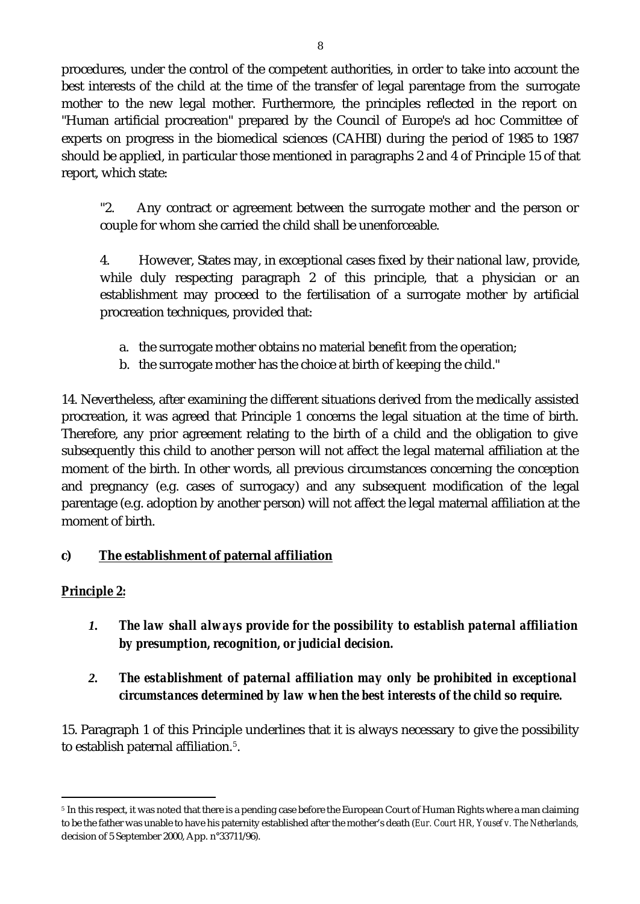procedures, under the control of the competent authorities, in order to take into account the best interests of the child at the time of the transfer of legal parentage from the surrogate mother to the new legal mother. Furthermore, the principles reflected in the report on "Human artificial procreation" prepared by the Council of Europe's ad hoc Committee of experts on progress in the biomedical sciences (CAHBI) during the period of 1985 to 1987 should be applied, in particular those mentioned in paragraphs 2 and 4 of Principle 15 of that report, which state:

"2. Any contract or agreement between the surrogate mother and the person or couple for whom she carried the child shall be unenforceable.

4. However, States may, in exceptional cases fixed by their national law, provide, while duly respecting paragraph 2 of this principle, that a physician or an establishment may proceed to the fertilisation of a surrogate mother by artificial procreation techniques, provided that:

- a. the surrogate mother obtains no material benefit from the operation;
- b. the surrogate mother has the choice at birth of keeping the child."

14. Nevertheless, after examining the different situations derived from the medically assisted procreation, it was agreed that Principle 1 concerns the legal situation at the time of birth. Therefore, any prior agreement relating to the birth of a child and the obligation to give subsequently this child to another person will not affect the legal maternal affiliation at the moment of the birth. In other words, all previous circumstances concerning the conception and pregnancy (e.g. cases of surrogacy) and any subsequent modification of the legal parentage (e.g. adoption by another person) will not affect the legal maternal affiliation at the moment of birth.

# **c) The establishment of paternal affiliation**

# *Principle 2:*

l

*1. The law shall always provide for the possibility to establish paternal affiliation by presumption, recognition, or judicial decision.* 

# *2. The establishment of paternal affiliation may only be prohibited in exceptional circumstances determined by law when the best interests of the child so require.*

15. Paragraph 1 of this Principle underlines that it is always necessary to give the possibility to establish paternal affiliation.<sup>5</sup>.

<sup>&</sup>lt;sup>5</sup> In this respect, it was noted that there is a pending case before the European Court of Human Rights where a man claiming to be the father was unable to have his paternity established after the mother's death (*Eur. Court HR, Yousef v. The Netherlands,*  decision of 5 September 2000, App. n°33711/96).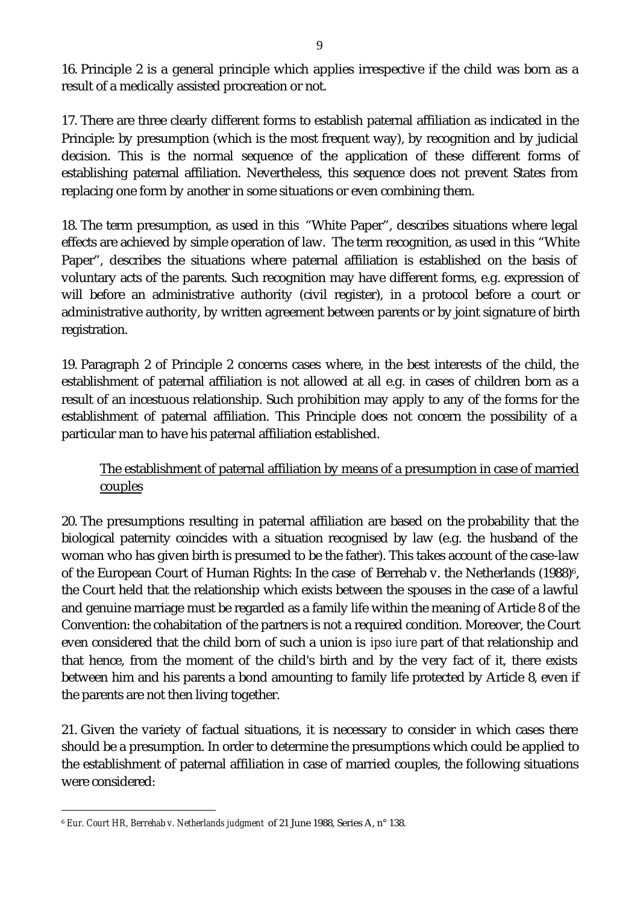16. Principle 2 is a general principle which applies irrespective if the child was born as a result of a medically assisted procreation or not.

17. There are three clearly different forms to establish paternal affiliation as indicated in the Principle: by presumption (which is the most frequent way), by recognition and by judicial decision. This is the normal sequence of the application of these different forms of establishing paternal affiliation. Nevertheless, this sequence does not prevent States from replacing one form by another in some situations or even combining them.

18. The term presumption, as used in this "White Paper", describes situations where legal effects are achieved by simple operation of law. The term recognition, as used in this "White Paper", describes the situations where paternal affiliation is established on the basis of voluntary acts of the parents. Such recognition may have different forms, e.g. expression of will before an administrative authority (civil register), in a protocol before a court or administrative authority, by written agreement between parents or by joint signature of birth registration.

19. Paragraph 2 of Principle 2 concerns cases where, in the best interests of the child, the establishment of paternal affiliation is not allowed at all e.g. in cases of children born as a result of an incestuous relationship. Such prohibition may apply to any of the forms for the establishment of paternal affiliation. This Principle does not concern the possibility of a particular man to have his paternal affiliation established.

# The establishment of paternal affiliation by means of a presumption in case of married couples

20. The presumptions resulting in paternal affiliation are based on the probability that the biological paternity coincides with a situation recognised by law (e.g. the husband of the woman who has given birth is presumed to be the father). This takes account of the case-law of the European Court of Human Rights: In the case of Berrehab v. the Netherlands  $(1988)^6$ , the Court held that the relationship which exists between the spouses in the case of a lawful and genuine marriage must be regarded as a family life within the meaning of Article 8 of the Convention: the cohabitation of the partners is not a required condition. Moreover, the Court even considered that the child born of such a union is *ipso iure* part of that relationship and that hence, from the moment of the child's birth and by the very fact of it, there exists between him and his parents a bond amounting to family life protected by Article 8, even if the parents are not then living together.

21. Given the variety of factual situations, it is necessary to consider in which cases there should be a presumption. In order to determine the presumptions which could be applied to the establishment of paternal affiliation in case of married couples, the following situations were considered:

l

<sup>6</sup> *Eur. Court HR, Berrehab v. Netherlands judgment* of 21 June 1988, Series A, n° 138.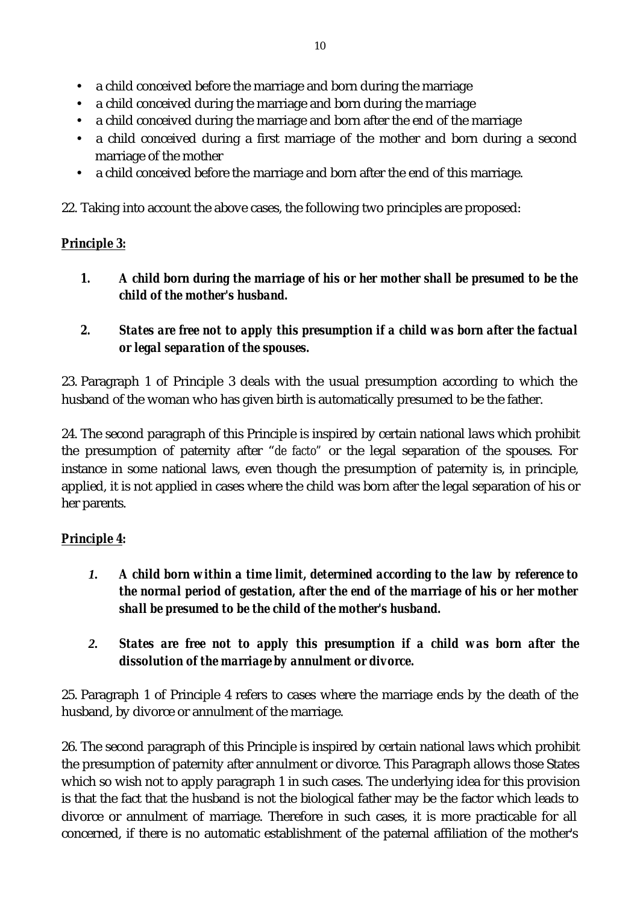- a child conceived before the marriage and born during the marriage
- a child conceived during the marriage and born during the marriage
- a child conceived during the marriage and born after the end of the marriage
- a child conceived during a first marriage of the mother and born during a second marriage of the mother
- a child conceived before the marriage and born after the end of this marriage.

22. Taking into account the above cases, the following two principles are proposed:

# *Principle 3:*

- *1. A child born during the marriage of his or her mother shall be presumed to be the child of the mother's husband.*
- *2. States are free not to apply this presumption if a child was born after the factual or legal separation of the spouses.*

23. Paragraph 1 of Principle 3 deals with the usual presumption according to which the husband of the woman who has given birth is automatically presumed to be the father.

24. The second paragraph of this Principle is inspired by certain national laws which prohibit the presumption of paternity after "*de facto"* or the legal separation of the spouses. For instance in some national laws, even though the presumption of paternity is, in principle, applied, it is not applied in cases where the child was born after the legal separation of his or her parents.

# *Principle 4:*

- *1. A child born within a time limit, determined according to the law by reference to the normal period of gestation, after the end of the marriage of his or her mother shall be presumed to be the child of the mother's husband.*
- *2. States are free not to apply this presumption if a child was born after the dissolution of the marriage by annulment or divorce.*

25. Paragraph 1 of Principle 4 refers to cases where the marriage ends by the death of the husband, by divorce or annulment of the marriage.

26. The second paragraph of this Principle is inspired by certain national laws which prohibit the presumption of paternity after annulment or divorce. This Paragraph allows those States which so wish not to apply paragraph 1 in such cases. The underlying idea for this provision is that the fact that the husband is not the biological father may be the factor which leads to divorce or annulment of marriage. Therefore in such cases, it is more practicable for all concerned, if there is no automatic establishment of the paternal affiliation of the mother's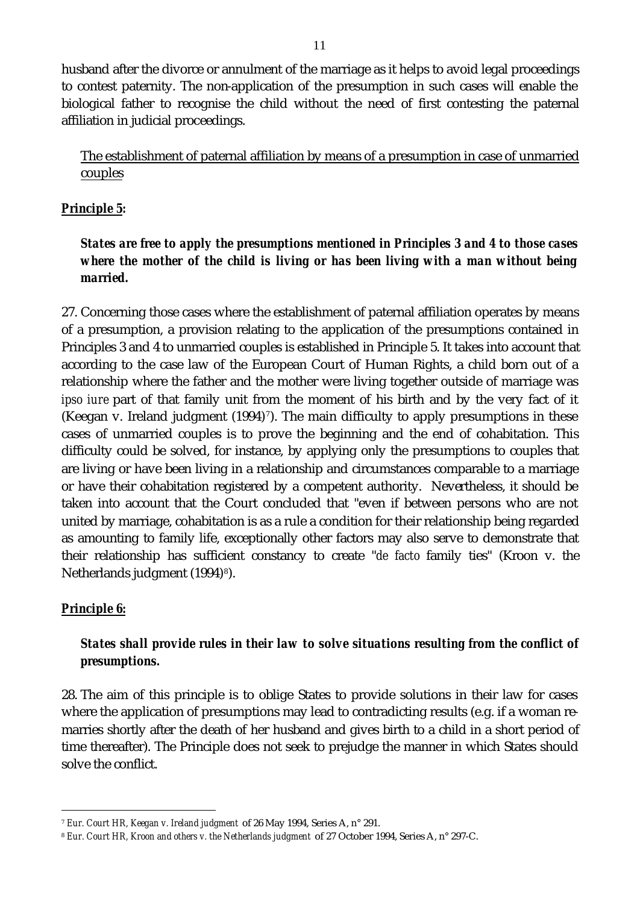husband after the divorce or annulment of the marriage as it helps to avoid legal proceedings to contest paternity. The non-application of the presumption in such cases will enable the biological father to recognise the child without the need of first contesting the paternal affiliation in judicial proceedings.

The establishment of paternal affiliation by means of a presumption in case of unmarried couples

#### *Principle 5:*

### *States are free to apply the presumptions mentioned in Principles 3 and 4 to those cases where the mother of the child is living or has been living with a man without being married***.**

27. Concerning those cases where the establishment of paternal affiliation operates by means of a presumption, a provision relating to the application of the presumptions contained in Principles 3 and 4 to unmarried couples is established in Principle 5. It takes into account that according to the case law of the European Court of Human Rights, a child born out of a relationship where the father and the mother were living together outside of marriage was *ipso iure* part of that family unit from the moment of his birth and by the very fact of it (Keegan v. Ireland judgment  $(1994)^7$ ). The main difficulty to apply presumptions in these cases of unmarried couples is to prove the beginning and the end of cohabitation. This difficulty could be solved, for instance, by applying only the presumptions to couples that are living or have been living in a relationship and circumstances comparable to a marriage or have their cohabitation registered by a competent authority. Nevertheless, it should be taken into account that the Court concluded that "even if between persons who are not united by marriage, cohabitation is as a rule a condition for their relationship being regarded as amounting to family life, exceptionally other factors may also serve to demonstrate that their relationship has sufficient constancy to create "*de facto* family ties" (Kroon v. the Netherlands judgment (1994)<sup>8</sup>).

# *Principle 6:*

l

# *States shall provide rules in their law to solve situations resulting from the conflict of presumptions.*

28. The aim of this principle is to oblige States to provide solutions in their law for cases where the application of presumptions may lead to contradicting results (e.g. if a woman remarries shortly after the death of her husband and gives birth to a child in a short period of time thereafter). The Principle does not seek to prejudge the manner in which States should solve the conflict.

<sup>7</sup> *Eur. Court HR, Keegan v. Ireland judgment* of 26 May 1994, Series A, n° 291.

<sup>8</sup> *Eur. Court HR, Kroon and others v. the Netherlands judgment* of 27 October 1994, Series A, n° 297-C.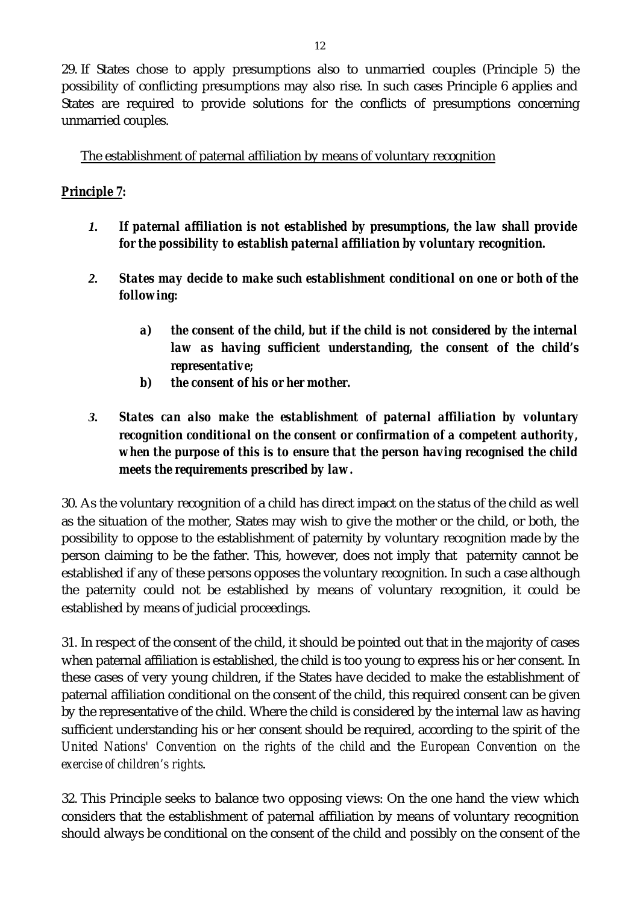29. If States chose to apply presumptions also to unmarried couples (Principle 5) the possibility of conflicting presumptions may also rise. In such cases Principle 6 applies and States are required to provide solutions for the conflicts of presumptions concerning unmarried couples.

The establishment of paternal affiliation by means of voluntary recognition

# *Principle 7:*

- *1. If paternal affiliation is not established by presumptions, the law shall provide for the possibility to establish paternal affiliation by voluntary recognition.*
- *2. States may decide to make such establishment conditional on one or both of the following:*
	- *a) the consent of the child, but if the child is not considered by the internal law as having sufficient understanding, the consent of the child's representative;*
	- *b) the consent of his or her mother.*

# *3. States can also make the establishment of paternal affiliation by voluntary recognition conditional on the consent or confirmation of a competent authority, when the purpose of this is to ensure that the person having recognised the child meets the requirements prescribed by law.*

30. As the voluntary recognition of a child has direct impact on the status of the child as well as the situation of the mother, States may wish to give the mother or the child, or both, the possibility to oppose to the establishment of paternity by voluntary recognition made by the person claiming to be the father. This, however, does not imply that paternity cannot be established if any of these persons opposes the voluntary recognition. In such a case although the paternity could not be established by means of voluntary recognition, it could be established by means of judicial proceedings.

31. In respect of the consent of the child, it should be pointed out that in the majority of cases when paternal affiliation is established, the child is too young to express his or her consent. In these cases of very young children, if the States have decided to make the establishment of paternal affiliation conditional on the consent of the child, this required consent can be given by the representative of the child. Where the child is considered by the internal law as having sufficient understanding his or her consent should be required, according to the spirit of the *United Nations' Convention on the rights of the child* and the *European Convention on the exercise of children's rights*.

32. This Principle seeks to balance two opposing views: On the one hand the view which considers that the establishment of paternal affiliation by means of voluntary recognition should always be conditional on the consent of the child and possibly on the consent of the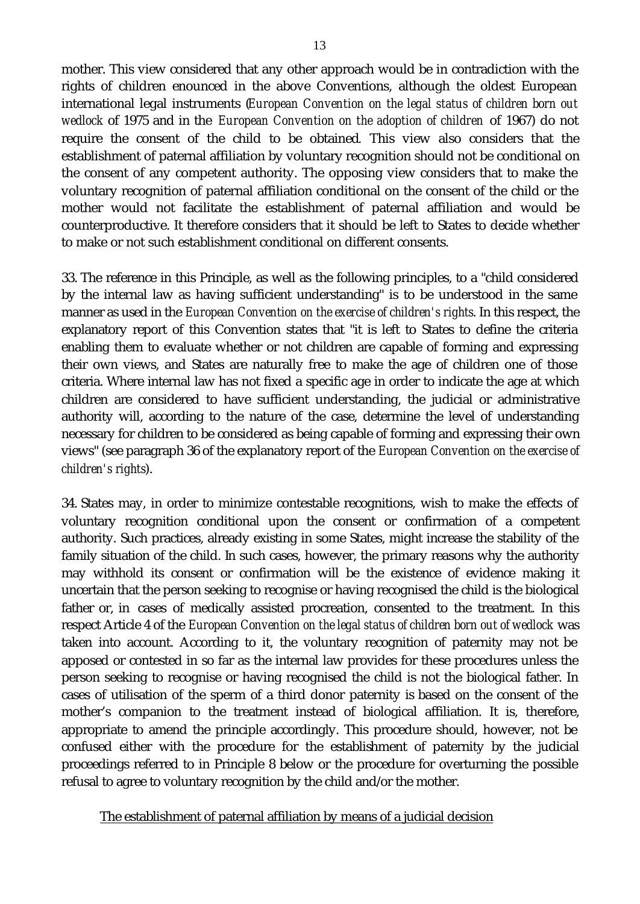mother. This view considered that any other approach would be in contradiction with the rights of children enounced in the above Conventions, although the oldest European international legal instruments (*European Convention on the legal status of children born out wedlock* of 1975 and in the *European Convention on the adoption of children* of 1967) do not require the consent of the child to be obtained*.* This view also considers that the establishment of paternal affiliation by voluntary recognition should not be conditional on the consent of any competent authority. The opposing view considers that to make the voluntary recognition of paternal affiliation conditional on the consent of the child or the mother would not facilitate the establishment of paternal affiliation and would be counterproductive. It therefore considers that it should be left to States to decide whether to make or not such establishment conditional on different consents.

33. The reference in this Principle, as well as the following principles, to a "child considered by the internal law as having sufficient understanding" is to be understood in the same manner as used in the *European Convention on the exercise of children's rights*. In this respect, the explanatory report of this Convention states that "it is left to States to define the criteria enabling them to evaluate whether or not children are capable of forming and expressing their own views, and States are naturally free to make the age of children one of those criteria. Where internal law has not fixed a specific age in order to indicate the age at which children are considered to have sufficient understanding, the judicial or administrative authority will, according to the nature of the case, determine the level of understanding necessary for children to be considered as being capable of forming and expressing their own views" (see paragraph 36 of the explanatory report of the *European Convention on the exercise of children's rights*).

34. States may, in order to minimize contestable recognitions, wish to make the effects of voluntary recognition conditional upon the consent or confirmation of a competent authority. Such practices, already existing in some States, might increase the stability of the family situation of the child. In such cases, however, the primary reasons why the authority may withhold its consent or confirmation will be the existence of evidence making it uncertain that the person seeking to recognise or having recognised the child is the biological father or, in cases of medically assisted procreation, consented to the treatment. In this respect Article 4 of the *European Convention on the legal status of children born out of wedlock* was taken into account. According to it, the voluntary recognition of paternity may not be apposed or contested in so far as the internal law provides for these procedures unless the person seeking to recognise or having recognised the child is not the biological father. In cases of utilisation of the sperm of a third donor paternity is based on the consent of the mother's companion to the treatment instead of biological affiliation. It is, therefore, appropriate to amend the principle accordingly. This procedure should, however, not be confused either with the procedure for the establishment of paternity by the judicial proceedings referred to in Principle 8 below or the procedure for overturning the possible refusal to agree to voluntary recognition by the child and/or the mother.

#### The establishment of paternal affiliation by means of a judicial decision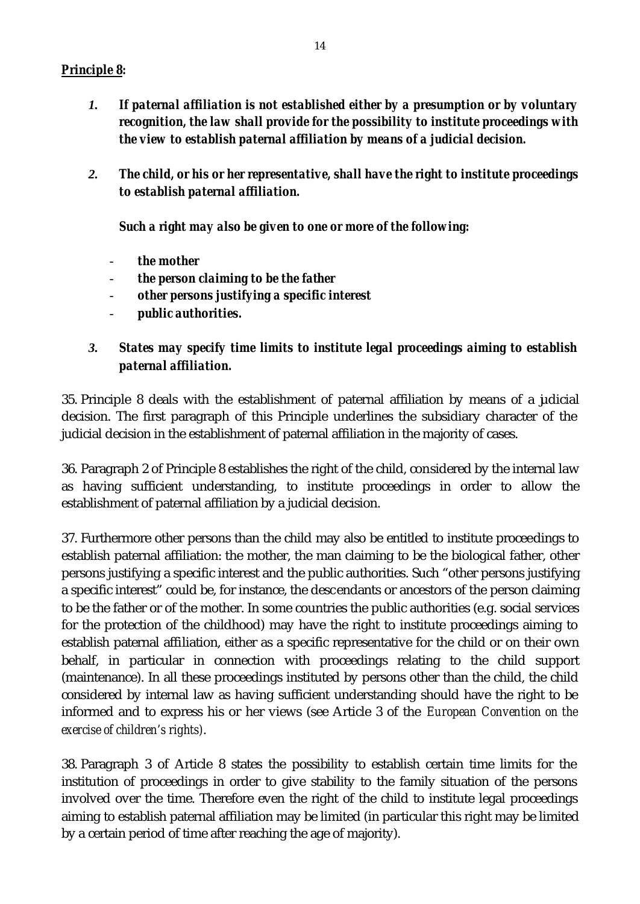#### *Principle 8:*

- *1. If paternal affiliation is not established either by a presumption or by voluntary recognition, the law shall provide for the possibility to institute proceedings with the view to establish paternal affiliation by means of a judicial decision.*
- *2. The child, or his or her representative, shall have the right to institute proceedings to establish paternal affiliation.*

*Such a right may also be given to one or more of the following:*

- *the mother*
- *the person claiming to be the father*
- *other persons justifying a specific interest*
- *public authorities.*
- *3. States may specify time limits to institute legal proceedings aiming to establish paternal affiliation.*

35. Principle 8 deals with the establishment of paternal affiliation by means of a judicial decision. The first paragraph of this Principle underlines the subsidiary character of the judicial decision in the establishment of paternal affiliation in the majority of cases.

36. Paragraph 2 of Principle 8 establishes the right of the child, considered by the internal law as having sufficient understanding, to institute proceedings in order to allow the establishment of paternal affiliation by a judicial decision.

37. Furthermore other persons than the child may also be entitled to institute proceedings to establish paternal affiliation: the mother, the man claiming to be the biological father, other persons justifying a specific interest and the public authorities. Such "other persons justifying a specific interest" could be, for instance, the descendants or ancestors of the person claiming to be the father or of the mother. In some countries the public authorities (e.g. social services for the protection of the childhood) may have the right to institute proceedings aiming to establish paternal affiliation, either as a specific representative for the child or on their own behalf, in particular in connection with proceedings relating to the child support (maintenance). In all these proceedings instituted by persons other than the child, the child considered by internal law as having sufficient understanding should have the right to be informed and to express his or her views (see Article 3 of the *European Convention on the exercise of children's rights)*.

38. Paragraph 3 of Article 8 states the possibility to establish certain time limits for the institution of proceedings in order to give stability to the family situation of the persons involved over the time. Therefore even the right of the child to institute legal proceedings aiming to establish paternal affiliation may be limited (in particular this right may be limited by a certain period of time after reaching the age of majority).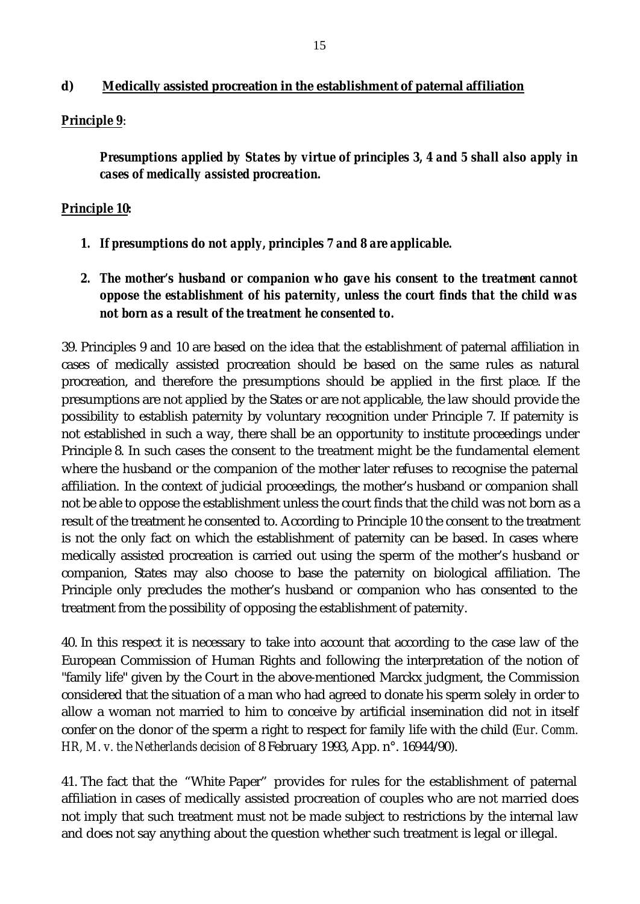#### **d) Medically assisted procreation in the establishment of paternal affiliation**

#### *Principle 9*:

*Presumptions applied by States by virtue of principles 3, 4 and 5 shall also apply in cases of medically assisted procreation.*

#### *Principle 10:*

- *1. If presumptions do not apply, principles 7 and 8 are applicable.*
- *2. The mother's husband or companion who gave his consent to the treatment cannot oppose the establishment of his paternity, unless the court finds that the child was not born as a result of the treatment he consented to.*

39. Principles 9 and 10 are based on the idea that the establishment of paternal affiliation in cases of medically assisted procreation should be based on the same rules as natural procreation, and therefore the presumptions should be applied in the first place. If the presumptions are not applied by the States or are not applicable, the law should provide the possibility to establish paternity by voluntary recognition under Principle 7. If paternity is not established in such a way, there shall be an opportunity to institute proceedings under Principle 8. In such cases the consent to the treatment might be the fundamental element where the husband or the companion of the mother later refuses to recognise the paternal affiliation. In the context of judicial proceedings, the mother's husband or companion shall not be able to oppose the establishment unless the court finds that the child was not born as a result of the treatment he consented to. According to Principle 10 the consent to the treatment is not the only fact on which the establishment of paternity can be based. In cases where medically assisted procreation is carried out using the sperm of the mother's husband or companion, States may also choose to base the paternity on biological affiliation. The Principle only precludes the mother's husband or companion who has consented to the treatment from the possibility of opposing the establishment of paternity.

40. In this respect it is necessary to take into account that according to the case law of the European Commission of Human Rights and following the interpretation of the notion of "family life" given by the Court in the above-mentioned Marckx judgment, the Commission considered that the situation of a man who had agreed to donate his sperm solely in order to allow a woman not married to him to conceive by artificial insemination did not in itself confer on the donor of the sperm a right to respect for family life with the child (*Eur. Comm. HR, M. v. the Netherlands decision* of 8 February 1993, App. n°. 16944/90).

41. The fact that the "White Paper" provides for rules for the establishment of paternal affiliation in cases of medically assisted procreation of couples who are not married does not imply that such treatment must not be made subject to restrictions by the internal law and does not say anything about the question whether such treatment is legal or illegal.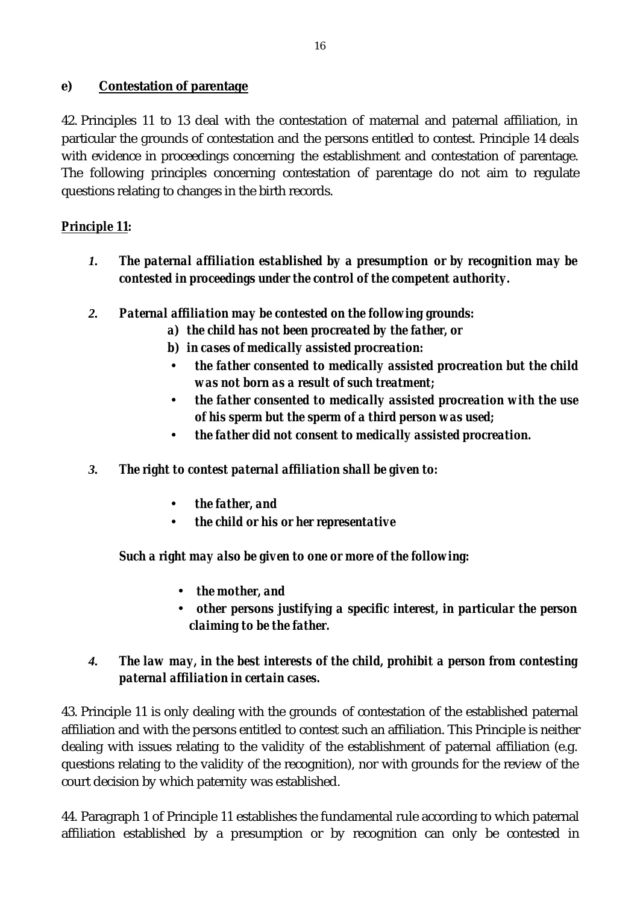### **e) Contestation of parentage**

42. Principles 11 to 13 deal with the contestation of maternal and paternal affiliation, in particular the grounds of contestation and the persons entitled to contest. Principle 14 deals with evidence in proceedings concerning the establishment and contestation of parentage. The following principles concerning contestation of parentage do not aim to regulate questions relating to changes in the birth records.

# *Principle 11:*

- *1. The paternal affiliation established by a presumption or by recognition may be contested in proceedings under the control of the competent authority.*
- *2. Paternal affiliation may be contested on the following grounds:*
	- *a) the child has not been procreated by the father, or*
	- *b) in cases of medically assisted procreation:*
		- ü *the father consented to medically assisted procreation but the child was not born as a result of such treatment;*
	- ü *the father consented to medically assisted procreation with the use of his sperm but the sperm of a third person was used;*
	- ü *the father did not consent to medically assisted procreation.*
- *3. The right to contest paternal affiliation shall be given to:*
	- ü *the father, and*
	- ü *the child or his or her representative*

# *Such a right may also be given to one or more of the following:*

- *the mother, and*
- *other persons justifying a specific interest, in particular the person claiming to be the father.*

# *4. The law may, in the best interests of the child, prohibit a person from contesting paternal affiliation in certain cases.*

43. Principle 11 is only dealing with the grounds of contestation of the established paternal affiliation and with the persons entitled to contest such an affiliation. This Principle is neither dealing with issues relating to the validity of the establishment of paternal affiliation (e.g. questions relating to the validity of the recognition), nor with grounds for the review of the court decision by which paternity was established.

44. Paragraph 1 of Principle 11 establishes the fundamental rule according to which paternal affiliation established by a presumption or by recognition can only be contested in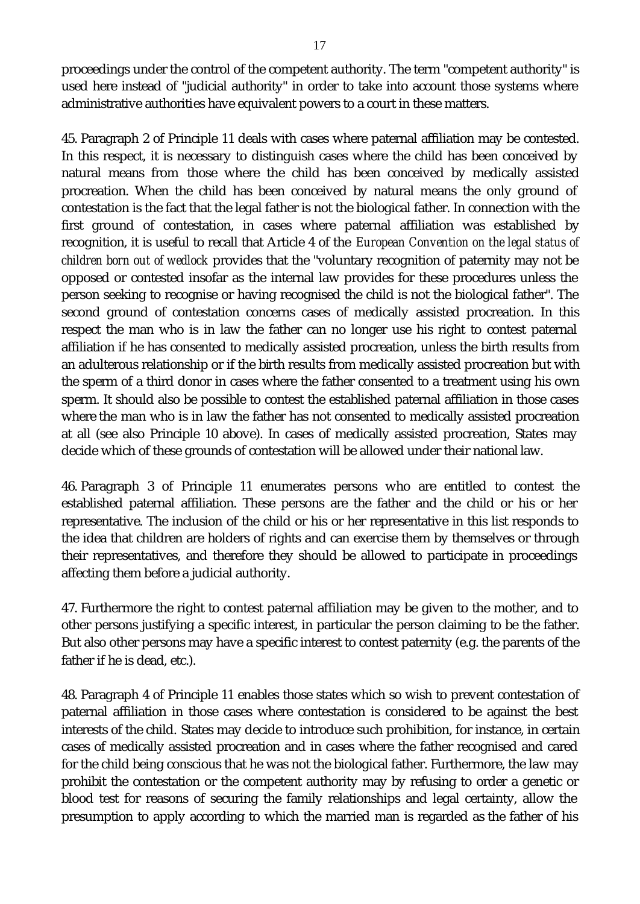proceedings under the control of the competent authority. The term "competent authority" is used here instead of "judicial authority" in order to take into account those systems where administrative authorities have equivalent powers to a court in these matters.

45. Paragraph 2 of Principle 11 deals with cases where paternal affiliation may be contested. In this respect, it is necessary to distinguish cases where the child has been conceived by natural means from those where the child has been conceived by medically assisted procreation. When the child has been conceived by natural means the only ground of contestation is the fact that the legal father is not the biological father. In connection with the first ground of contestation, in cases where paternal affiliation was established by recognition, it is useful to recall that Article 4 of the *European Convention on the legal status of children born out of wedlock* provides that the "voluntary recognition of paternity may not be opposed or contested insofar as the internal law provides for these procedures unless the person seeking to recognise or having recognised the child is not the biological father". The second ground of contestation concerns cases of medically assisted procreation. In this respect the man who is in law the father can no longer use his right to contest paternal affiliation if he has consented to medically assisted procreation, unless the birth results from an adulterous relationship or if the birth results from medically assisted procreation but with the sperm of a third donor in cases where the father consented to a treatment using his own sperm. It should also be possible to contest the established paternal affiliation in those cases where the man who is in law the father has not consented to medically assisted procreation at all (see also Principle 10 above). In cases of medically assisted procreation, States may decide which of these grounds of contestation will be allowed under their national law.

46. Paragraph 3 of Principle 11 enumerates persons who are entitled to contest the established paternal affiliation. These persons are the father and the child or his or her representative. The inclusion of the child or his or her representative in this list responds to the idea that children are holders of rights and can exercise them by themselves or through their representatives, and therefore they should be allowed to participate in proceedings affecting them before a judicial authority.

47. Furthermore the right to contest paternal affiliation may be given to the mother, and to other persons justifying a specific interest, in particular the person claiming to be the father. But also other persons may have a specific interest to contest paternity (e.g. the parents of the father if he is dead, etc.).

48. Paragraph 4 of Principle 11 enables those states which so wish to prevent contestation of paternal affiliation in those cases where contestation is considered to be against the best interests of the child. States may decide to introduce such prohibition, for instance, in certain cases of medically assisted procreation and in cases where the father recognised and cared for the child being conscious that he was not the biological father. Furthermore, the law may prohibit the contestation or the competent authority may by refusing to order a genetic or blood test for reasons of securing the family relationships and legal certainty, allow the presumption to apply according to which the married man is regarded as the father of his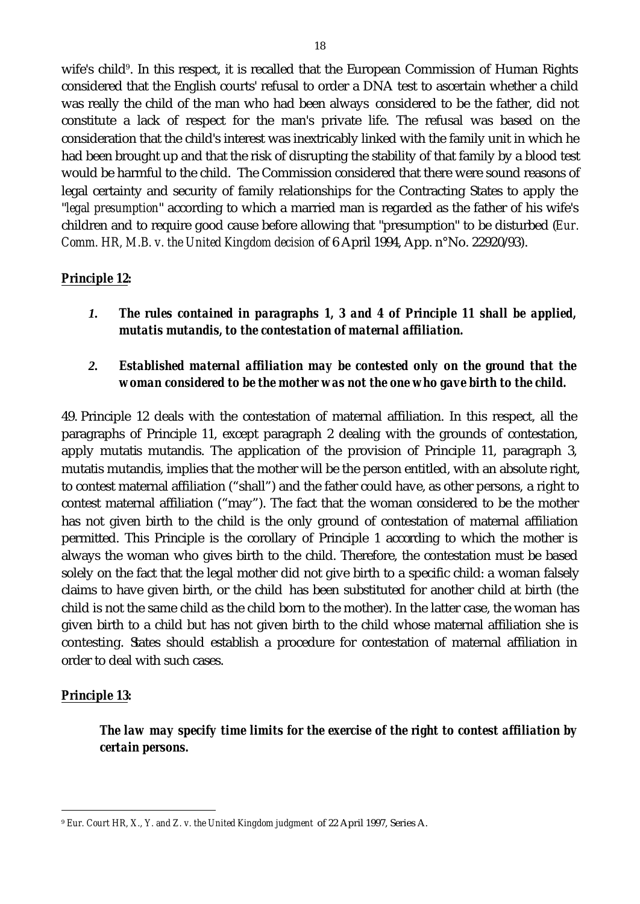wife's child<sup>9</sup>. In this respect, it is recalled that the European Commission of Human Rights considered that the English courts' refusal to order a DNA test to ascertain whether a child was really the child of the man who had been always considered to be the father, did not constitute a lack of respect for the man's private life. The refusal was based on the consideration that the child's interest was inextricably linked with the family unit in which he had been brought up and that the risk of disrupting the stability of that family by a blood test would be harmful to the child. The Commission considered that there were sound reasons of legal certainty and security of family relationships for the Contracting States to apply the "*legal presumption*" according to which a married man is regarded as the father of his wife's children and to require good cause before allowing that "presumption" to be disturbed (*Eur. Comm. HR, M.B. v. the United Kingdom decision* of 6 April 1994, App. n°No. 22920/93).

#### *Principle 12:*

*1. The rules contained in paragraphs 1, 3 and 4 of Principle 11 shall be applied, mutatis mutandis, to the contestation of maternal affiliation.*

### *2. Established maternal affiliation may be contested only on the ground that the woman considered to be the mother was not the one who gave birth to the child.*

49. Principle 12 deals with the contestation of maternal affiliation. In this respect, all the paragraphs of Principle 11, except paragraph 2 dealing with the grounds of contestation, apply mutatis mutandis. The application of the provision of Principle 11, paragraph 3, mutatis mutandis, implies that the mother will be the person entitled, with an absolute right, to contest maternal affiliation ("shall") and the father could have, as other persons, a right to contest maternal affiliation ("may"). The fact that the woman considered to be the mother has not given birth to the child is the only ground of contestation of maternal affiliation permitted. This Principle is the corollary of Principle 1 according to which the mother is always the woman who gives birth to the child. Therefore, the contestation must be based solely on the fact that the legal mother did not give birth to a specific child: a woman falsely claims to have given birth, or the child has been substituted for another child at birth (the child is not the same child as the child born to the mother). In the latter case, the woman has given birth to a child but has not given birth to the child whose maternal affiliation she is contesting. States should establish a procedure for contestation of maternal affiliation in order to deal with such cases.

#### *Principle 13:*

l

*The law may specify time limits for the exercise of the right to contest affiliation by certain persons.*

<sup>9</sup> *Eur. Court HR, X., Y. and Z. v. the United Kingdom judgment* of 22 April 1997, Series A.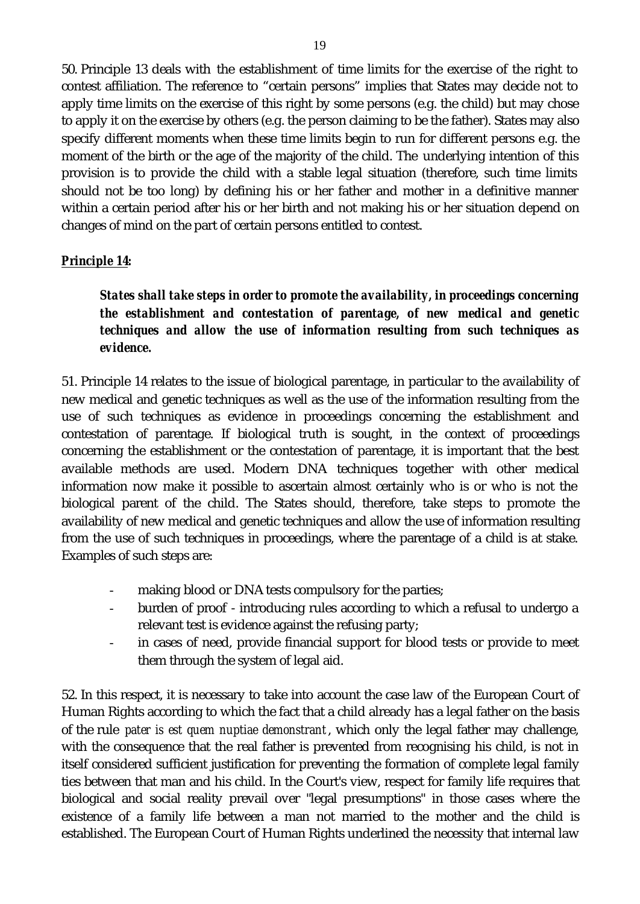50. Principle 13 deals with the establishment of time limits for the exercise of the right to contest affiliation. The reference to "certain persons" implies that States may decide not to apply time limits on the exercise of this right by some persons (e.g. the child) but may chose to apply it on the exercise by others (e.g. the person claiming to be the father). States may also specify different moments when these time limits begin to run for different persons e.g. the moment of the birth or the age of the majority of the child. The underlying intention of this provision is to provide the child with a stable legal situation (therefore, such time limits should not be too long) by defining his or her father and mother in a definitive manner within a certain period after his or her birth and not making his or her situation depend on changes of mind on the part of certain persons entitled to contest.

### *Principle 14:*

*States shall take steps in order to promote the availability, in proceedings concerning the establishment and contestation of parentage, of new medical and genetic techniques and allow the use of information resulting from such techniques as evidence.*

51. Principle 14 relates to the issue of biological parentage, in particular to the availability of new medical and genetic techniques as well as the use of the information resulting from the use of such techniques as evidence in proceedings concerning the establishment and contestation of parentage. If biological truth is sought, in the context of proceedings concerning the establishment or the contestation of parentage, it is important that the best available methods are used. Modern DNA techniques together with other medical information now make it possible to ascertain almost certainly who is or who is not the biological parent of the child. The States should, therefore, take steps to promote the availability of new medical and genetic techniques and allow the use of information resulting from the use of such techniques in proceedings, where the parentage of a child is at stake. Examples of such steps are:

- making blood or DNA tests compulsory for the parties;
- burden of proof introducing rules according to which a refusal to undergo a relevant test is evidence against the refusing party;
- in cases of need, provide financial support for blood tests or provide to meet them through the system of legal aid.

52. In this respect, it is necessary to take into account the case law of the European Court of Human Rights according to which the fact that a child already has a legal father on the basis of the rule *pater is est quem nuptiae demonstrant*, which only the legal father may challenge, with the consequence that the real father is prevented from recognising his child, is not in itself considered sufficient justification for preventing the formation of complete legal family ties between that man and his child. In the Court's view, respect for family life requires that biological and social reality prevail over "legal presumptions" in those cases where the existence of a family life between a man not married to the mother and the child is established. The European Court of Human Rights underlined the necessity that internal law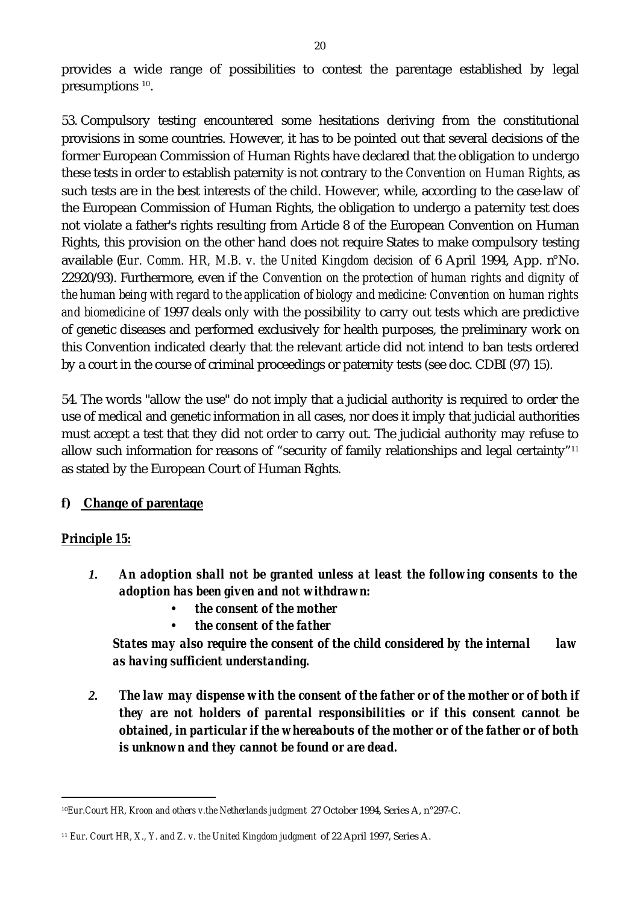provides a wide range of possibilities to contest the parentage established by legal presumptions<sup>10</sup>.

53. Compulsory testing encountered some hesitations deriving from the constitutional provisions in some countries. However, it has to be pointed out that several decisions of the former European Commission of Human Rights have declared that the obligation to undergo these tests in order to establish paternity is not contrary to the *Convention on Human Rights,* as such tests are in the best interests of the child. However, while, according to the case-law of the European Commission of Human Rights, the obligation to undergo a paternity test does not violate a father's rights resulting from Article 8 of the European Convention on Human Rights, this provision on the other hand does not require States to make compulsory testing available (*Eur. Comm. HR, M.B. v. the United Kingdom decision* of 6 April 1994, App. n°No. 22920/93). Furthermore, even if the *Convention on the protection of human rights and dignity of the human being with regard to the application of biology and medicine: Convention on human rights and biomedicine* of 1997 deals only with the possibility to carry out tests which are predictive of genetic diseases and performed exclusively for health purposes, the preliminary work on this Convention indicated clearly that the relevant article did not intend to ban tests ordered by a court in the course of criminal proceedings or paternity tests (see doc. CDBI (97) 15).

54. The words "allow the use" do not imply that a judicial authority is required to order the use of medical and genetic information in all cases, nor does it imply that judicial authorities must accept a test that they did not order to carry out. The judicial authority may refuse to allow such information for reasons of "security of family relationships and legal certainty"<sup>11</sup> as stated by the European Court of Human Rights.

#### **f) Change of parentage**

#### *Principle 15:*

l

- *1. An adoption shall not be granted unless at least the following consents to the adoption has been given and not withdrawn:*
	- ü *the consent of the mother*
	- ü *the consent of the father*

*States may also require the consent of the child considered by the internal law as having sufficient understanding.*

*2. The law may dispense with the consent of the father or of the mother or of both if they are not holders of parental responsibilities or if this consent cannot be obtained, in particular if the whereabouts of the mother or of the father or of both is unknown and they cannot be found or are dead.* 

<sup>10</sup>*Eur.Court HR, Kroon and others v.the Netherlands judgment* 27 October 1994, Series A, n°297-C.

<sup>11</sup> *Eur. Court HR, X., Y. and Z. v. the United Kingdom judgment* of 22 April 1997, Series A.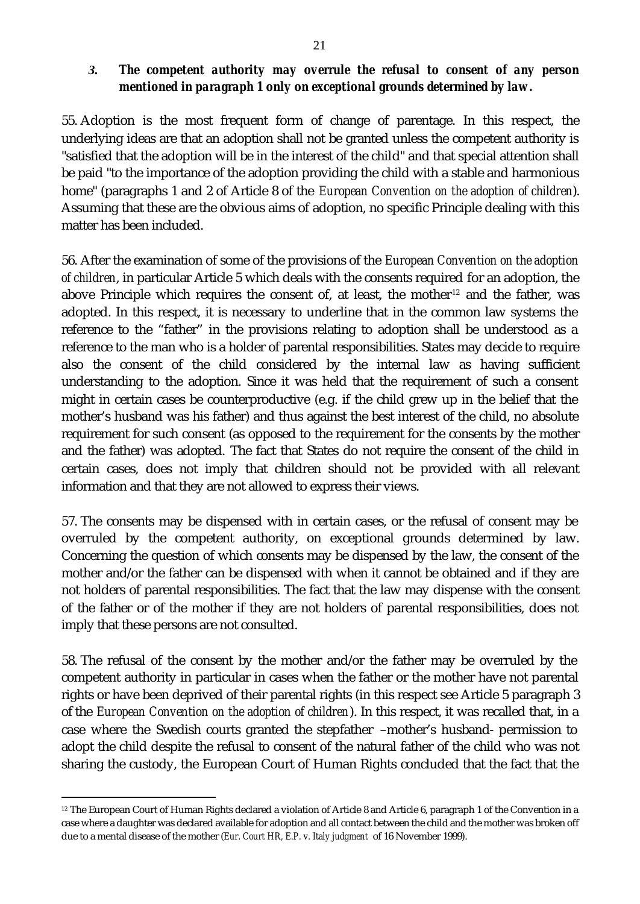#### *3. The competent authority may overrule the refusal to consent of any person mentioned in paragraph 1 only on exceptional grounds determined by law.*

55. Adoption is the most frequent form of change of parentage. In this respect, the underlying ideas are that an adoption shall not be granted unless the competent authority is "satisfied that the adoption will be in the interest of the child" and that special attention shall be paid "to the importance of the adoption providing the child with a stable and harmonious home" (paragraphs 1 and 2 of Article 8 of the *European Convention on the adoption of children*). Assuming that these are the obvious aims of adoption, no specific Principle dealing with this matter has been included.

56. After the examination of some of the provisions of the *European Convention on the adoption of children*, in particular Article 5 which deals with the consents required for an adoption, the above Principle which requires the consent of, at least, the mother<sup>12</sup> and the father, was adopted. In this respect, it is necessary to underline that in the common law systems the reference to the "father" in the provisions relating to adoption shall be understood as a reference to the man who is a holder of parental responsibilities. States may decide to require also the consent of the child considered by the internal law as having sufficient understanding to the adoption. Since it was held that the requirement of such a consent might in certain cases be counterproductive (e.g. if the child grew up in the belief that the mother's husband was his father) and thus against the best interest of the child, no absolute requirement for such consent (as opposed to the requirement for the consents by the mother and the father) was adopted. The fact that States do not require the consent of the child in certain cases, does not imply that children should not be provided with all relevant information and that they are not allowed to express their views.

57. The consents may be dispensed with in certain cases, or the refusal of consent may be overruled by the competent authority, on exceptional grounds determined by law. Concerning the question of which consents may be dispensed by the law, the consent of the mother and/or the father can be dispensed with when it cannot be obtained and if they are not holders of parental responsibilities. The fact that the law may dispense with the consent of the father or of the mother if they are not holders of parental responsibilities, does not imply that these persons are not consulted.

58. The refusal of the consent by the mother and/or the father may be overruled by the competent authority in particular in cases when the father or the mother have not parental rights or have been deprived of their parental rights (in this respect see Article 5 paragraph 3 of the *European Convention on the adoption of children*). In this respect, it was recalled that, in a case where the Swedish courts granted the stepfather –mother's husband- permission to adopt the child despite the refusal to consent of the natural father of the child who was not sharing the custody, the European Court of Human Rights concluded that the fact that the

l

<sup>12</sup> The European Court of Human Rights declared a violation of Article 8 and Article 6, paragraph 1 of the Convention in a case where a daughter was declared available for adoption and all contact between the child and the mother was broken off due to a mental disease of the mother (*Eur. Court HR, E.P. v. Italy judgment* of 16 November 1999).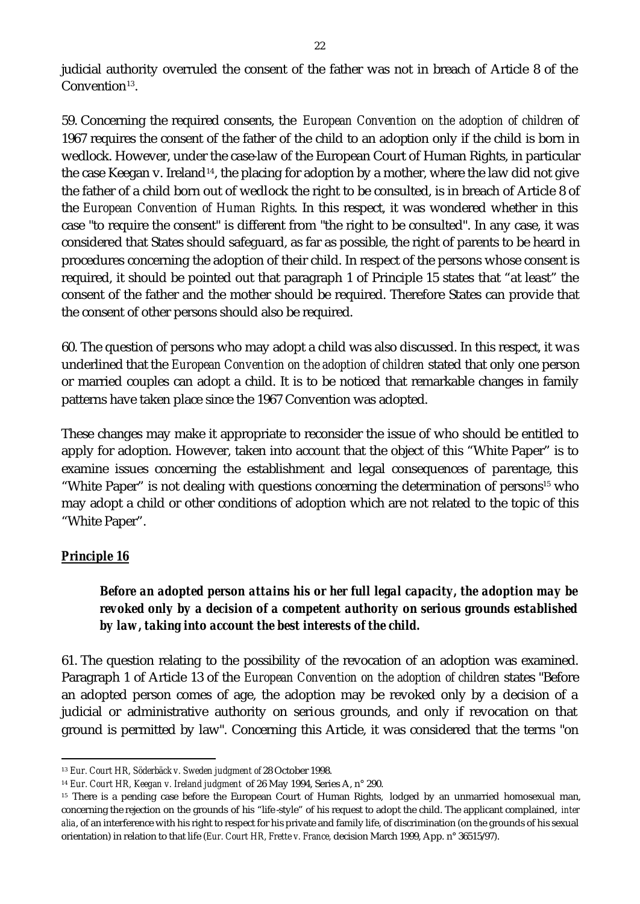judicial authority overruled the consent of the father was not in breach of Article 8 of the  $Convention<sup>13</sup>$ .

59. Concerning the required consents, the *European Convention on the adoption of children* of 1967 requires the consent of the father of the child to an adoption only if the child is born in wedlock. However, under the case-law of the European Court of Human Rights, in particular the case Keegan v. Ireland<sup>14</sup>, the placing for adoption by a mother, where the law did not give the father of a child born out of wedlock the right to be consulted, is in breach of Article 8 of the *European Convention of Human Rights*. In this respect, it was wondered whether in this case "to require the consent" is different from "the right to be consulted". In any case, it was considered that States should safeguard, as far as possible, the right of parents to be heard in procedures concerning the adoption of their child. In respect of the persons whose consent is required, it should be pointed out that paragraph 1 of Principle 15 states that "at least" the consent of the father and the mother should be required. Therefore States can provide that the consent of other persons should also be required.

60. The question of persons who may adopt a child was also discussed. In this respect, it was underlined that the *European Convention on the adoption of children* stated that only one person or married couples can adopt a child. It is to be noticed that remarkable changes in family patterns have taken place since the 1967 Convention was adopted.

These changes may make it appropriate to reconsider the issue of who should be entitled to apply for adoption. However, taken into account that the object of this "White Paper" is to examine issues concerning the establishment and legal consequences of parentage, this "White Paper" is not dealing with questions concerning the determination of persons<sup>15</sup> who may adopt a child or other conditions of adoption which are not related to the topic of this "White Paper".

#### *Principle 16*

l

### *Before an adopted person attains his or her full legal capacity, the adoption may be revoked only by a decision of a competent authority on serious grounds established by law, taking into account the best interests of the child.*

61. The question relating to the possibility of the revocation of an adoption was examined. Paragraph 1 of Article 13 of the *European Convention on the adoption of children* states "Before an adopted person comes of age, the adoption may be revoked only by a decision of a judicial or administrative authority on serious grounds, and only if revocation on that ground is permitted by law". Concerning this Article, it was considered that the terms "on

<sup>13</sup> *Eur. Court HR, Söderbäck v. Sweden judgment of* 28 October 1998.

<sup>14</sup> *Eur. Court HR, Keegan v. Ireland judgment* of 26 May 1994, Series A, n° 290.

<sup>&</sup>lt;sup>15</sup> There is a pending case before the European Court of Human Rights, lodged by an unmarried homosexual man, concerning the rejection on the grounds of his "life -style" of his request to adopt the child. The applicant complained, *inter alia*, of an interference with his right to respect for his private and family life, of discrimination (on the grounds of his sexual orientation) in relation to that life (*Eur. Court HR, Frette v. France,* decision March 1999, App. n° 36515/97).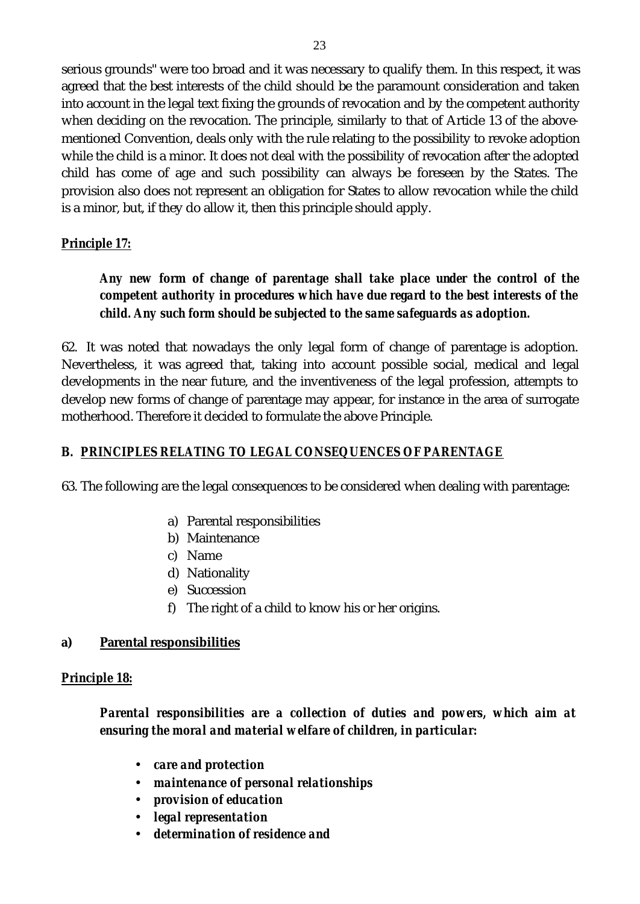serious grounds" were too broad and it was necessary to qualify them. In this respect, it was agreed that the best interests of the child should be the paramount consideration and taken into account in the legal text fixing the grounds of revocation and by the competent authority when deciding on the revocation. The principle, similarly to that of Article 13 of the abovementioned Convention, deals only with the rule relating to the possibility to revoke adoption while the child is a minor. It does not deal with the possibility of revocation after the adopted child has come of age and such possibility can always be foreseen by the States. The provision also does not represent an obligation for States to allow revocation while the child is a minor, but, if they do allow it, then this principle should apply.

### *Principle 17:*

### *Any new form of change of parentage shall take place under the control of the competent authority in procedures which have due regard to the best interests of the child. Any such form should be subjected to the same safeguards as adoption.*

62. It was noted that nowadays the only legal form of change of parentage is adoption. Nevertheless, it was agreed that, taking into account possible social, medical and legal developments in the near future, and the inventiveness of the legal profession, attempts to develop new forms of change of parentage may appear, for instance in the area of surrogate motherhood. Therefore it decided to formulate the above Principle.

## *B. PRINCIPLES RELATING TO LEGAL CONSEQUENCES OF PARENTAGE*

63. The following are the legal consequences to be considered when dealing with parentage:

- a) Parental responsibilities
- b) Maintenance
- c) Name
- d) Nationality
- e) Succession
- f) The right of a child to know his or her origins.

#### **a) Parental responsibilities**

#### *Principle 18:*

*Parental responsibilities are a collection of duties and powers, which aim at ensuring the moral and material welfare of children, in particular:*

- *care and protection*
- *maintenance of personal relationships*
- *provision of education*
- *legal representation*
- *determination of residence and*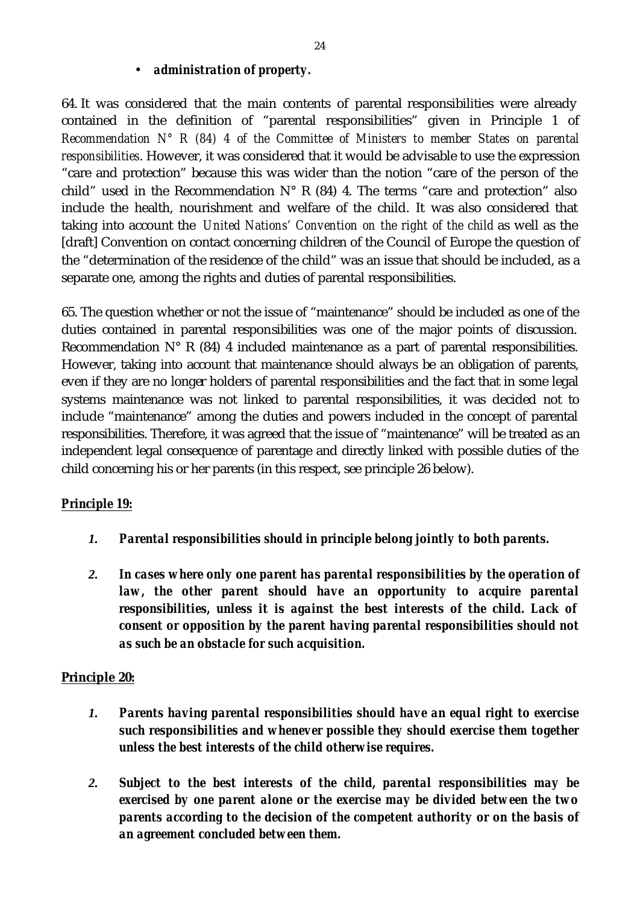#### • *administration of property.*

64. It was considered that the main contents of parental responsibilities were already contained in the definition of "parental responsibilities" given in Principle 1 of *Recommendation N° R (84) 4 of the Committee of Ministers to member States on parental responsibilities*. However, it was considered that it would be advisable to use the expression "care and protection" because this was wider than the notion "care of the person of the child" used in the Recommendation  $N^{\circ}$  R (84) 4. The terms "care and protection" also include the health, nourishment and welfare of the child. It was also considered that taking into account the *United Nations' Convention on the right of the child* as well as the [draft] Convention on contact concerning children of the Council of Europe the question of the "determination of the residence of the child" was an issue that should be included, as a separate one, among the rights and duties of parental responsibilities.

65. The question whether or not the issue of "maintenance" should be included as one of the duties contained in parental responsibilities was one of the major points of discussion. Recommendation  $N^{\circ}$  R (84) 4 included maintenance as a part of parental responsibilities. However, taking into account that maintenance should always be an obligation of parents, even if they are no longer holders of parental responsibilities and the fact that in some legal systems maintenance was not linked to parental responsibilities, it was decided not to include "maintenance" among the duties and powers included in the concept of parental responsibilities. Therefore, it was agreed that the issue of "maintenance" will be treated as an independent legal consequence of parentage and directly linked with possible duties of the child concerning his or her parents (in this respect, see principle 26 below).

#### *Principle 19:*

- *1. Parental responsibilities should in principle belong jointly to both parents.*
- *2. In cases where only one parent has parental responsibilities by the operation of law, the other parent should have an opportunity to acquire parental responsibilities, unless it is against the best interests of the child. Lack of consent or opposition by the parent having parental responsibilities should not as such be an obstacle for such acquisition.*

#### **Principle 20:**

- *1. Parents having parental responsibilities should have an equal right to exercise such responsibilities and whenever possible they should exercise them together unless the best interests of the child otherwise requires.*
- *2. Subject to the best interests of the child, parental responsibilities may be exercised by one parent alone or the exercise may be divided between the two parents according to the decision of the competent authority or on the basis of an agreement concluded between them.*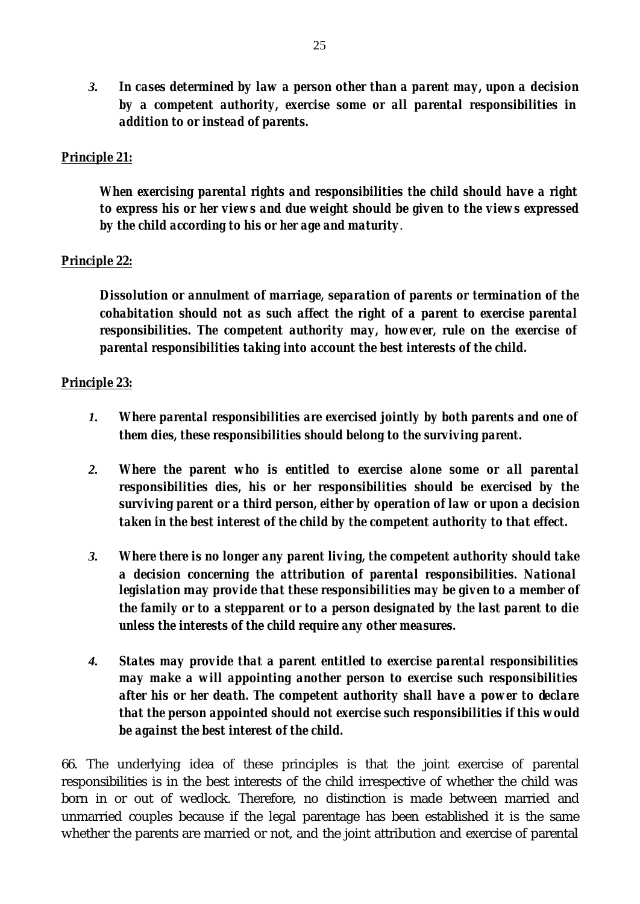*3. In cases determined by law a person other than a parent may, upon a decision by a competent authority, exercise some or all parental responsibilities in addition to or instead of parents.*

#### *Principle 21:*

*When exercising parental rights and responsibilities the child should have a right to express his or her views and due weight should be given to the views expressed by the child according to his or her age and maturity*.

#### *Principle 22:*

*Dissolution or annulment of marriage, separation of parents or termination of the cohabitation should not as such affect the right of a parent to exercise parental responsibilities. The competent authority may, however, rule on the exercise of parental responsibilities taking into account the best interests of the child.*

#### *Principle 23:*

- *1. Where parental responsibilities are exercised jointly by both parents and one of them dies, these responsibilities should belong to the surviving parent.*
- *2. Where the parent who is entitled to exercise alone some or all parental responsibilities dies, his or her responsibilities should be exercised by the surviving parent or a third person, either by operation of law or upon a decision taken in the best interest of the child by the competent authority to that effect.*
- *3. Where there is no longer any parent living, the competent authority should take a decision concerning the attribution of parental responsibilities. National legislation* **may** *provide that these responsibilities may be given to a member of the family or to* **a** *stepparent or to a person designated by the last parent to die unless the interests of the child require any other measures.*
- *4. States may provide that a parent entitled to exercise parental responsibilities may make a will appointing another person to exercise such responsibilities after his or her death. The competent authority shall have a power to declare that the person appointed should not exercise such responsibilities if this would be against the best interest of the child.*

66. The underlying idea of these principles is that the joint exercise of parental responsibilities is in the best interests of the child irrespective of whether the child was born in or out of wedlock. Therefore, no distinction is made between married and unmarried couples because if the legal parentage has been established it is the same whether the parents are married or not, and the joint attribution and exercise of parental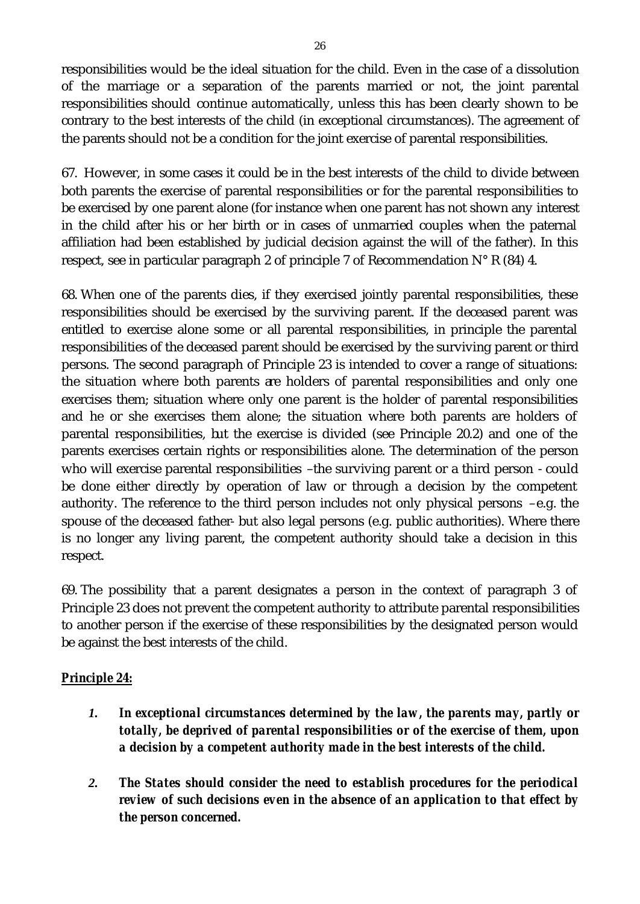responsibilities would be the ideal situation for the child. Even in the case of a dissolution of the marriage or a separation of the parents married or not, the joint parental responsibilities should continue automatically, unless this has been clearly shown to be contrary to the best interests of the child (in exceptional circumstances). The agreement of the parents should not be a condition for the joint exercise of parental responsibilities.

67. However, in some cases it could be in the best interests of the child to divide between both parents the exercise of parental responsibilities or for the parental responsibilities to be exercised by one parent alone (for instance when one parent has not shown any interest in the child after his or her birth or in cases of unmarried couples when the paternal affiliation had been established by judicial decision against the will of the father). In this respect, see in particular paragraph 2 of principle 7 of Recommendation  $N^{\circ}$  R (84) 4.

68. When one of the parents dies, if they exercised jointly parental responsibilities, these responsibilities should be exercised by the surviving parent. If the deceased parent was entitled to exercise alone some or all parental responsibilities, in principle the parental responsibilities of the deceased parent should be exercised by the surviving parent or third persons. The second paragraph of Principle 23 is intended to cover a range of situations: the situation where both parents are holders of parental responsibilities and only one exercises them; situation where only one parent is the holder of parental responsibilities and he or she exercises them alone; the situation where both parents are holders of parental responsibilities, but the exercise is divided (see Principle 20.2) and one of the parents exercises certain rights or responsibilities alone. The determination of the person who will exercise parental responsibilities –the surviving parent or a third person - could be done either directly by operation of law or through a decision by the competent authority. The reference to the third person includes not only physical persons –e.g. the spouse of the deceased father- but also legal persons (e.g. public authorities). Where there is no longer any living parent, the competent authority should take a decision in this respect.

69. The possibility that a parent designates a person in the context of paragraph 3 of Principle 23 does not prevent the competent authority to attribute parental responsibilities to another person if the exercise of these responsibilities by the designated person would be against the best interests of the child.

# *Principle 24:*

- *1. In exceptional circumstances determined by the law, the parents may, partly or totally, be deprived of parental responsibilities or of the exercise of them, upon a decision by a competent authority made in the best interests of the child.*
- *2. The States should consider the need to establish procedures for the periodical review of such decisions even in the absence of an application to that effect by the person concerned.*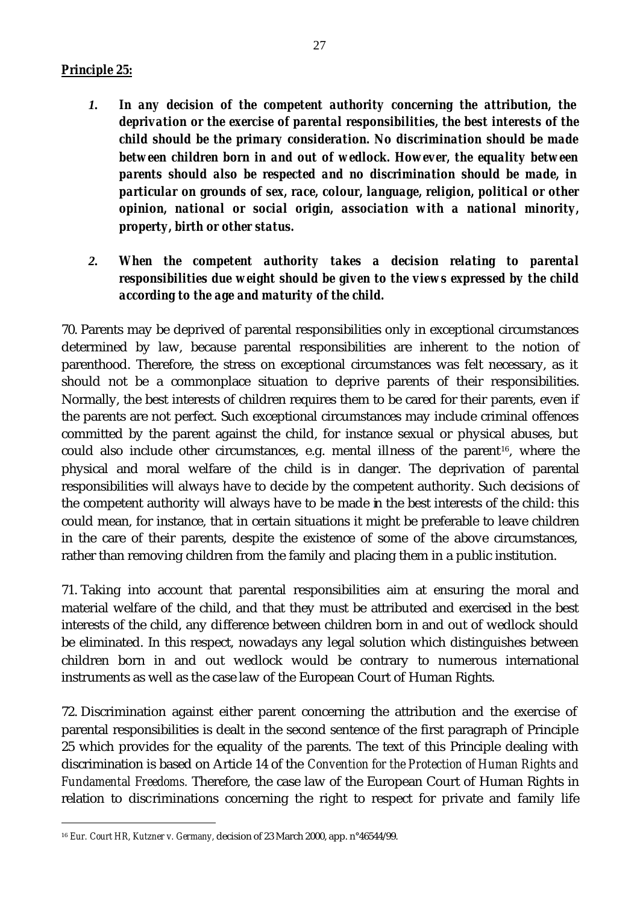#### *Principle 25:*

- *1. In any decision of the competent authority concerning the attribution, the deprivation or the exercise of parental responsibilities, the best interests of the child should be the primary consideration. No discrimination should be made between children born in and out of wedlock. However, the equality between parents should also be respected and no discrimination should be made, in particular on grounds of sex, race, colour, language, religion, political or other opinion, national or social origin, association with a national minority, property, birth or other status.*
- *2. When the competent authority takes a decision relating to parental responsibilities due weight should be given to the views expressed by the child according to the age and maturity of the child.*

70. Parents may be deprived of parental responsibilities only in exceptional circumstances determined by law, because parental responsibilities are inherent to the notion of parenthood. Therefore, the stress on exceptional circumstances was felt necessary, as it should not be a commonplace situation to deprive parents of their responsibilities. Normally, the best interests of children requires them to be cared for their parents, even if the parents are not perfect. Such exceptional circumstances may include criminal offences committed by the parent against the child, for instance sexual or physical abuses, but could also include other circumstances, e.g. mental illness of the parent<sup>16</sup>, where the physical and moral welfare of the child is in danger. The deprivation of parental responsibilities will always have to decide by the competent authority. Such decisions of the competent authority will always have to be made in the best interests of the child: this could mean, for instance, that in certain situations it might be preferable to leave children in the care of their parents, despite the existence of some of the above circumstances, rather than removing children from the family and placing them in a public institution.

71. Taking into account that parental responsibilities aim at ensuring the moral and material welfare of the child, and that they must be attributed and exercised in the best interests of the child, any difference between children born in and out of wedlock should be eliminated. In this respect, nowadays any legal solution which distinguishes between children born in and out wedlock would be contrary to numerous international instruments as well as the case law of the European Court of Human Rights.

72. Discrimination against either parent concerning the attribution and the exercise of parental responsibilities is dealt in the second sentence of the first paragraph of Principle 25 which provides for the equality of the parents. The text of this Principle dealing with discrimination is based on Article 14 of the *Convention for the Protection of Human Rights and Fundamental Freedoms.* Therefore, the case law of the European Court of Human Rights in relation to discriminations concerning the right to respect for private and family life

l

<sup>16</sup> *Eur. Court HR, Kutzner v. Germany,* decision of 23 March 2000, app. n°46544/99.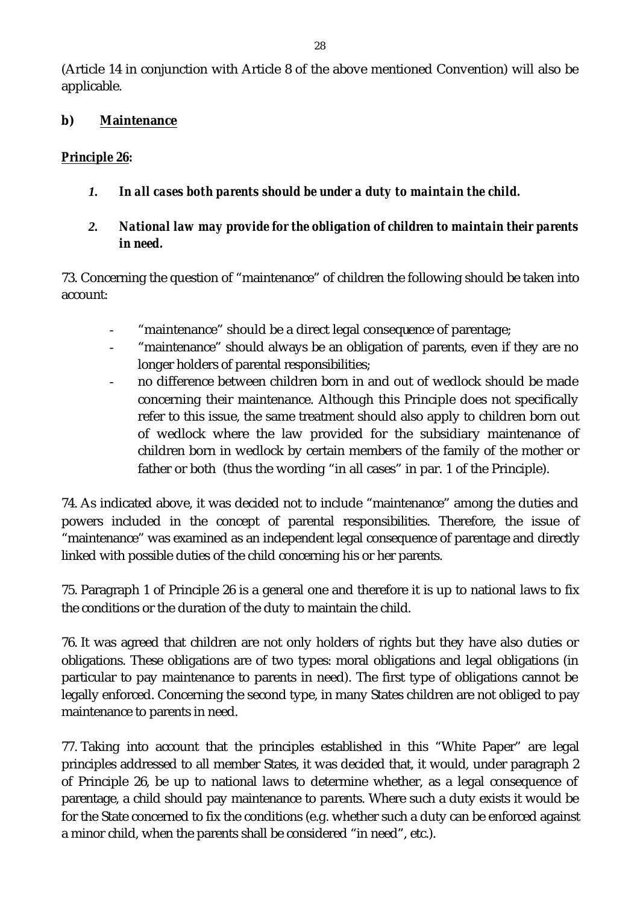(Article 14 in conjunction with Article 8 of the above mentioned Convention) will also be applicable.

### **b) Maintenance**

### *Principle 26:*

- *1. In all cases both parents should be under a duty to maintain the child.*
- *2. National law may provide for the obligation of children to maintain their parents in need.*

73. Concerning the question of "maintenance" of children the following should be taken into account:

- "maintenance" should be a direct legal consequence of parentage;
- "maintenance" should always be an obligation of parents, even if they are no longer holders of parental responsibilities;
- no difference between children born in and out of wedlock should be made concerning their maintenance. Although this Principle does not specifically refer to this issue, the same treatment should also apply to children born out of wedlock where the law provided for the subsidiary maintenance of children born in wedlock by certain members of the family of the mother or father or both (thus the wording "in all cases" in par. 1 of the Principle).

74. As indicated above, it was decided not to include "maintenance" among the duties and powers included in the concept of parental responsibilities. Therefore, the issue of "maintenance" was examined as an independent legal consequence of parentage and directly linked with possible duties of the child concerning his or her parents.

75. Paragraph 1 of Principle 26 is a general one and therefore it is up to national laws to fix the conditions or the duration of the duty to maintain the child.

76. It was agreed that children are not only holders of rights but they have also duties or obligations. These obligations are of two types: moral obligations and legal obligations (in particular to pay maintenance to parents in need). The first type of obligations cannot be legally enforced. Concerning the second type, in many States children are not obliged to pay maintenance to parents in need.

77. Taking into account that the principles established in this "White Paper" are legal principles addressed to all member States, it was decided that, it would, under paragraph 2 of Principle 26, be up to national laws to determine whether, as a legal consequence of parentage, a child should pay maintenance to parents. Where such a duty exists it would be for the State concerned to fix the conditions (e.g. whether such a duty can be enforced against a minor child, when the parents shall be considered "in need", etc.).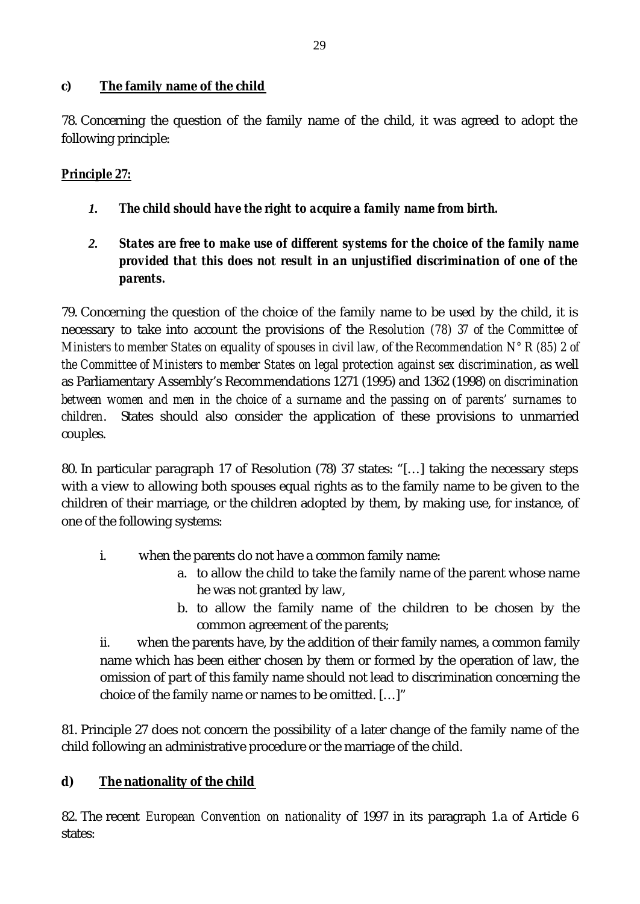### **c) The family name of the child**

78. Concerning the question of the family name of the child, it was agreed to adopt the following principle:

# *Principle 27:*

- *1. The child should have the right to acquire a family name from birth.*
- *2. States are free to make use of different systems for the choice of the family name provided that this does not result in an unjustified discrimination of one of the parents.*

79. Concerning the question of the choice of the family name to be used by the child, it is necessary to take into account the provisions of the *Resolution (78) 37 of the Committee of Ministers to member States on equality of spouses in civil law, of the Recommendation N° R (85) 2 of the Committee of Ministers to member States on legal protection against sex discrimination*, as well as Parliamentary Assembly's Recommendations 1271 (1995) and 1362 (1998) *on discrimination between women and men in the choice of a surname and the passing on of parents' surnames to children*. States should also consider the application of these provisions to unmarried couples.

80. In particular paragraph 17 of Resolution (78) 37 states: "[…] taking the necessary steps with a view to allowing both spouses equal rights as to the family name to be given to the children of their marriage, or the children adopted by them, by making use, for instance, of one of the following systems:

- i. when the parents do not have a common family name:
	- a. to allow the child to take the family name of the parent whose name he was not granted by law,
	- b. to allow the family name of the children to be chosen by the common agreement of the parents;

ii. when the parents have, by the addition of their family names, a common family name which has been either chosen by them or formed by the operation of law, the omission of part of this family name should not lead to discrimination concerning the choice of the family name or names to be omitted. […]"

81. Principle 27 does not concern the possibility of a later change of the family name of the child following an administrative procedure or the marriage of the child.

# **d) The nationality of the child**

82. The recent *European Convention on nationality* of 1997 in its paragraph 1.a of Article 6 states: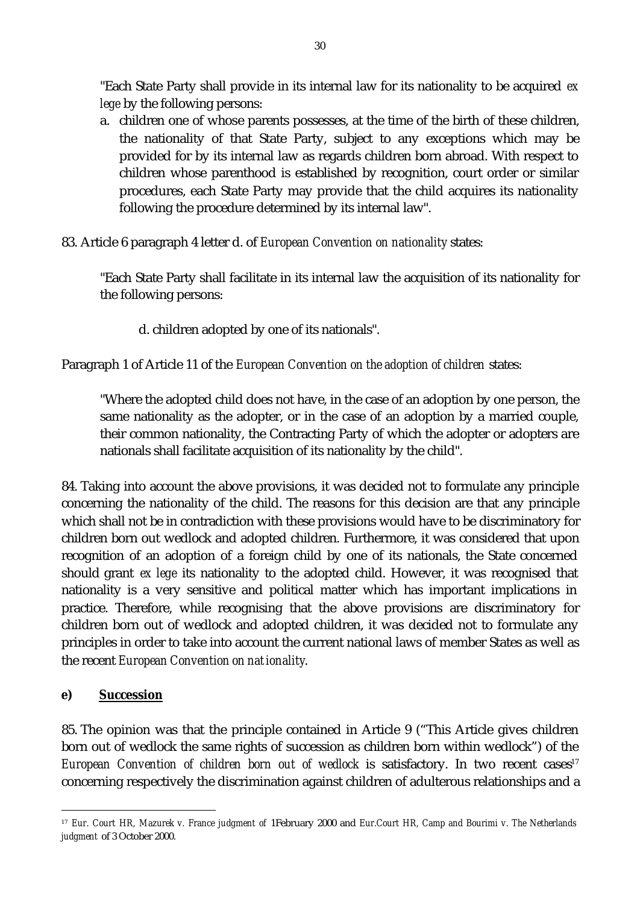"Each State Party shall provide in its internal law for its nationality to be acquired *ex lege* by the following persons:

- a. children one of whose parents possesses, at the time of the birth of these children, the nationality of that State Party, subject to any exceptions which may be provided for by its internal law as regards children born abroad. With respect to children whose parenthood is established by recognition, court order or similar procedures, each State Party may provide that the child acquires its nationality following the procedure determined by its internal law".
- 83. Article 6 paragraph 4 letter d. of *European Convention on nationality* states:

"Each State Party shall facilitate in its internal law the acquisition of its nationality for the following persons:

d. children adopted by one of its nationals".

Paragraph 1 of Article 11 of the *European Convention on the adoption of children* states:

"Where the adopted child does not have, in the case of an adoption by one person, the same nationality as the adopter, or in the case of an adoption by a married couple, their common nationality, the Contracting Party of which the adopter or adopters are nationals shall facilitate acquisition of its nationality by the child".

84. Taking into account the above provisions, it was decided not to formulate any principle concerning the nationality of the child. The reasons for this decision are that any principle which shall not be in contradiction with these provisions would have to be discriminatory for children born out wedlock and adopted children. Furthermore, it was considered that upon recognition of an adoption of a foreign child by one of its nationals, the State concerned should grant *ex lege* its nationality to the adopted child. However, it was recognised that nationality is a very sensitive and political matter which has important implications in practice. Therefore, while recognising that the above provisions are discriminatory for children born out of wedlock and adopted children, it was decided not to formulate any principles in order to take into account the current national laws of member States as well as the recent *European Convention on nationality*.

#### **e) Succession**

l

85. The opinion was that the principle contained in Article 9 ("This Article gives children born out of wedlock the same rights of succession as children born within wedlock") of the *European Convention of children born out of wedlock is satisfactory. In two recent cases<sup>17</sup>* concerning respectively the discrimination against children of adulterous relationships and a

<sup>17</sup> *Eur. Court HR, Mazurek v. France judgment of* 1February 2000 and *Eur.Court HR, Camp and Bourimi v. The Netherlands judgment* of 3 October 2000.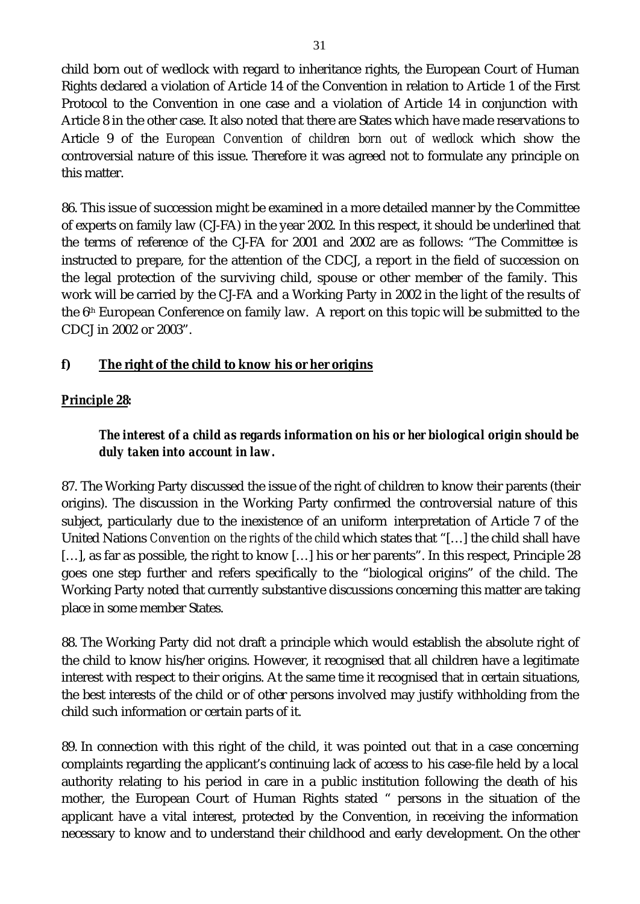child born out of wedlock with regard to inheritance rights, the European Court of Human Rights declared a violation of Article 14 of the Convention in relation to Article 1 of the First Protocol to the Convention in one case and a violation of Article 14 in conjunction with Article 8 in the other case. It also noted that there are States which have made reservations to Article 9 of the *European Convention of children born out of wedlock* which show the controversial nature of this issue. Therefore it was agreed not to formulate any principle on this matter.

86. This issue of succession might be examined in a more detailed manner by the Committee of experts on family law (CJ-FA) in the year 2002. In this respect, it should be underlined that the terms of reference of the CJ-FA for 2001 and 2002 are as follows: "The Committee is instructed to prepare, for the attention of the CDCJ, a report in the field of succession on the legal protection of the surviving child, spouse or other member of the family. This work will be carried by the CJ-FA and a Working Party in 2002 in the light of the results of the  $6<sup>th</sup>$  European Conference on family law. A report on this topic will be submitted to the CDCJ in 2002 or 2003".

# **f) The right of the child to know his or her origins**

# *Principle 28:*

# *The interest of a child as regards information on his or her biological origin should be duly taken into account in law.*

87. The Working Party discussed the issue of the right of children to know their parents (their origins). The discussion in the Working Party confirmed the controversial nature of this subject, particularly due to the inexistence of an uniform interpretation of Article 7 of the United Nations *Convention on the rights of the child* which states that "[…] the child shall have [...], as far as possible, the right to know [...] his or her parents". In this respect, Principle 28 goes one step further and refers specifically to the "biological origins" of the child. The Working Party noted that currently substantive discussions concerning this matter are taking place in some member States.

88. The Working Party did not draft a principle which would establish the absolute right of the child to know his/her origins. However, it recognised that all children have a legitimate interest with respect to their origins. At the same time it recognised that in certain situations, the best interests of the child or of other persons involved may justify withholding from the child such information or certain parts of it.

89. In connection with this right of the child, it was pointed out that in a case concerning complaints regarding the applicant's continuing lack of access to his case-file held by a local authority relating to his period in care in a public institution following the death of his mother, the European Court of Human Rights stated " persons in the situation of the applicant have a vital interest, protected by the Convention, in receiving the information necessary to know and to understand their childhood and early development. On the other